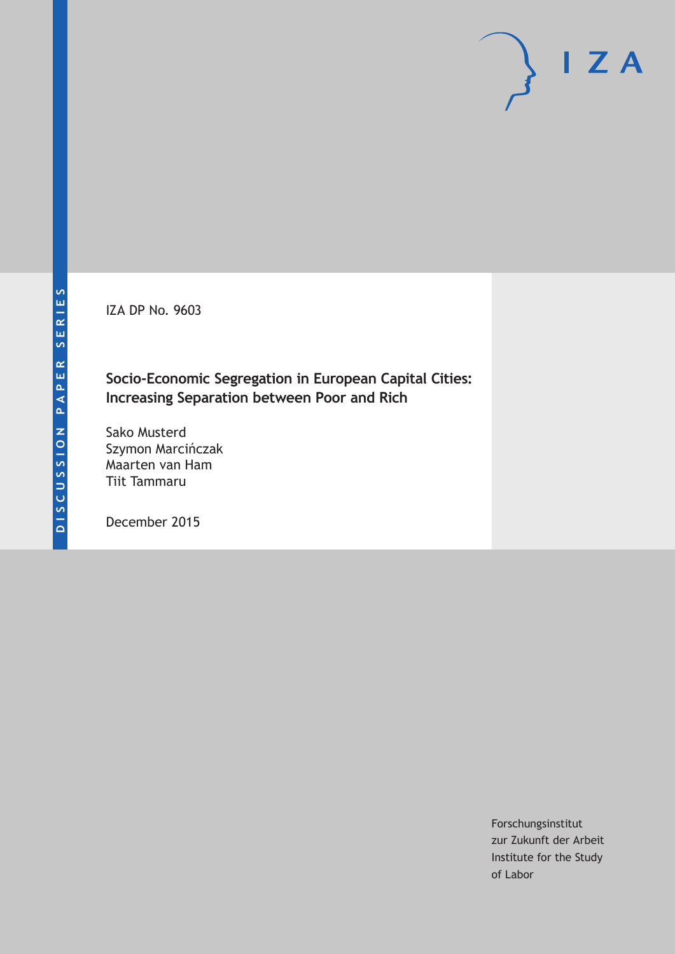IZA DP No. 9603

### **Socio-Economic Segregation in European Capital Cities: Increasing Separation between Poor and Rich**

Sako Musterd Szymon Marcińczak Maarten van Ham Tiit Tammaru

December 2015

Forschungsinstitut zur Zukunft der Arbeit Institute for the Study of Labor

 $I Z A$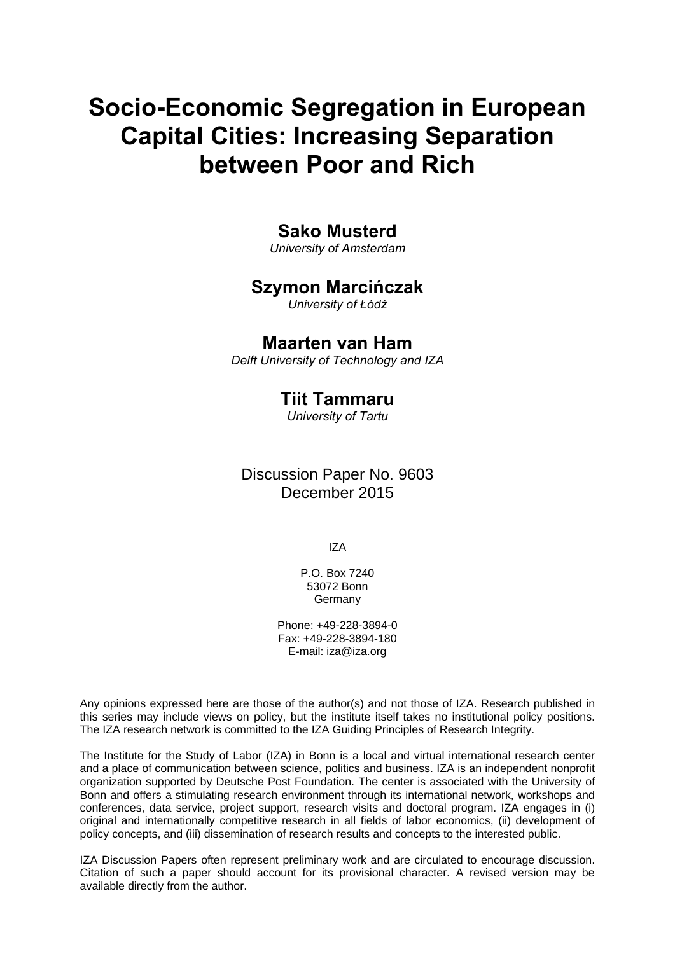# **Socio-Economic Segregation in European Capital Cities: Increasing Separation between Poor and Rich**

### **Sako Musterd**

*University of Amsterdam* 

### **Szymon Marcińczak**

*University of Łódź*

### **Maarten van Ham**

*Delft University of Technology and IZA* 

### **Tiit Tammaru**

*University of Tartu* 

Discussion Paper No. 9603 December 2015

IZA

P.O. Box 7240 53072 Bonn Germany

Phone: +49-228-3894-0 Fax: +49-228-3894-180 E-mail: iza@iza.org

Any opinions expressed here are those of the author(s) and not those of IZA. Research published in this series may include views on policy, but the institute itself takes no institutional policy positions. The IZA research network is committed to the IZA Guiding Principles of Research Integrity.

The Institute for the Study of Labor (IZA) in Bonn is a local and virtual international research center and a place of communication between science, politics and business. IZA is an independent nonprofit organization supported by Deutsche Post Foundation. The center is associated with the University of Bonn and offers a stimulating research environment through its international network, workshops and conferences, data service, project support, research visits and doctoral program. IZA engages in (i) original and internationally competitive research in all fields of labor economics, (ii) development of policy concepts, and (iii) dissemination of research results and concepts to the interested public.

IZA Discussion Papers often represent preliminary work and are circulated to encourage discussion. Citation of such a paper should account for its provisional character. A revised version may be available directly from the author.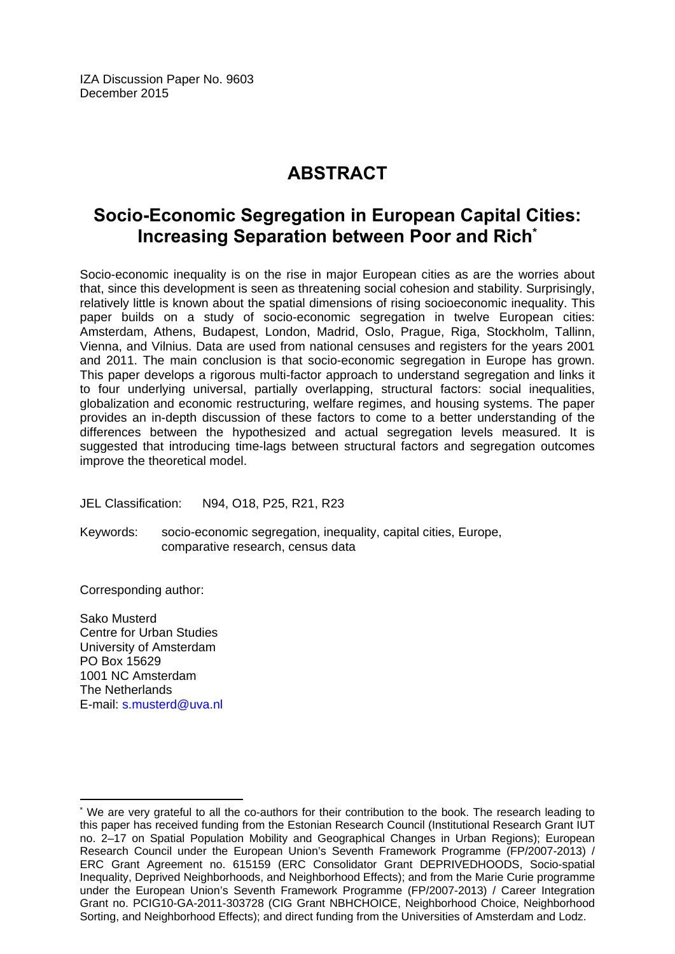IZA Discussion Paper No. 9603 December 2015

# **ABSTRACT**

## **Socio-Economic Segregation in European Capital Cities: Increasing Separation between Poor and Rich\***

Socio-economic inequality is on the rise in major European cities as are the worries about that, since this development is seen as threatening social cohesion and stability. Surprisingly, relatively little is known about the spatial dimensions of rising socioeconomic inequality. This paper builds on a study of socio-economic segregation in twelve European cities: Amsterdam, Athens, Budapest, London, Madrid, Oslo, Prague, Riga, Stockholm, Tallinn, Vienna, and Vilnius. Data are used from national censuses and registers for the years 2001 and 2011. The main conclusion is that socio-economic segregation in Europe has grown. This paper develops a rigorous multi-factor approach to understand segregation and links it to four underlying universal, partially overlapping, structural factors: social inequalities, globalization and economic restructuring, welfare regimes, and housing systems. The paper provides an in-depth discussion of these factors to come to a better understanding of the differences between the hypothesized and actual segregation levels measured. It is suggested that introducing time-lags between structural factors and segregation outcomes improve the theoretical model.

JEL Classification: N94, O18, P25, R21, R23

Keywords: socio-economic segregation, inequality, capital cities, Europe, comparative research, census data

Corresponding author:

Sako Musterd Centre for Urban Studies University of Amsterdam PO Box 15629 1001 NC Amsterdam The Netherlands E-mail: s.musterd@uva.nl

 $\overline{\phantom{a}}$ 

<sup>\*</sup> We are very grateful to all the co-authors for their contribution to the book. The research leading to this paper has received funding from the Estonian Research Council (Institutional Research Grant IUT no. 2–17 on Spatial Population Mobility and Geographical Changes in Urban Regions); European Research Council under the European Union's Seventh Framework Programme (FP/2007-2013) / ERC Grant Agreement no. 615159 (ERC Consolidator Grant DEPRIVEDHOODS, Socio-spatial Inequality, Deprived Neighborhoods, and Neighborhood Effects); and from the Marie Curie programme under the European Union's Seventh Framework Programme (FP/2007-2013) / Career Integration Grant no. PCIG10-GA-2011-303728 (CIG Grant NBHCHOICE, Neighborhood Choice, Neighborhood Sorting, and Neighborhood Effects); and direct funding from the Universities of Amsterdam and Lodz.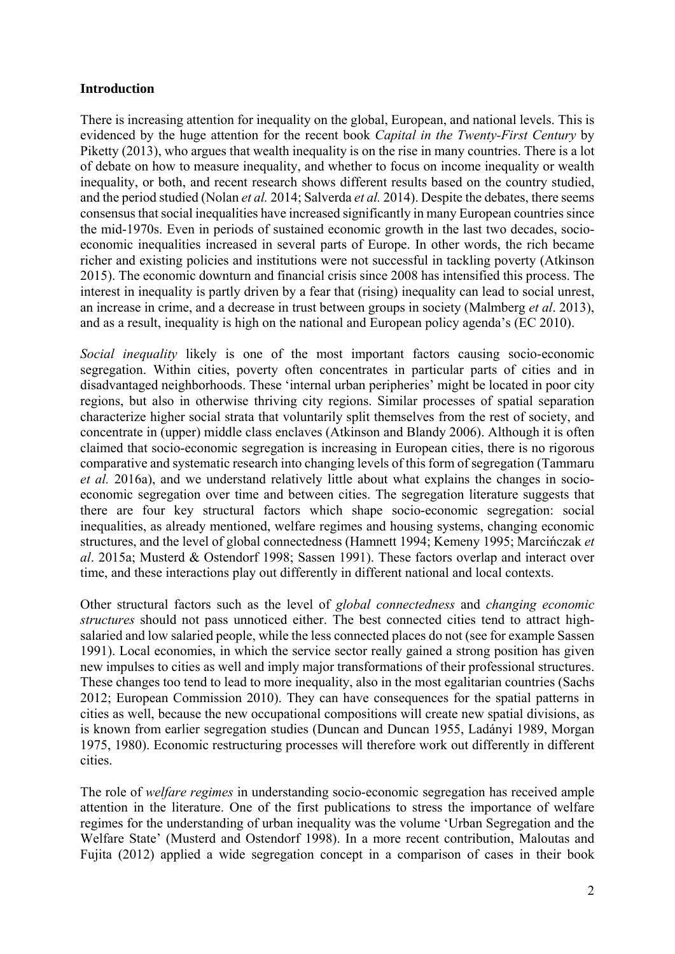#### **Introduction**

There is increasing attention for inequality on the global, European, and national levels. This is evidenced by the huge attention for the recent book *Capital in the Twenty-First Century* by Piketty (2013), who argues that wealth inequality is on the rise in many countries. There is a lot of debate on how to measure inequality, and whether to focus on income inequality or wealth inequality, or both, and recent research shows different results based on the country studied, and the period studied (Nolan *et al.* 2014; Salverda *et al.* 2014). Despite the debates, there seems consensus that social inequalities have increased significantly in many European countries since the mid-1970s. Even in periods of sustained economic growth in the last two decades, socioeconomic inequalities increased in several parts of Europe. In other words, the rich became richer and existing policies and institutions were not successful in tackling poverty (Atkinson 2015). The economic downturn and financial crisis since 2008 has intensified this process. The interest in inequality is partly driven by a fear that (rising) inequality can lead to social unrest, an increase in crime, and a decrease in trust between groups in society (Malmberg *et al*. 2013), and as a result, inequality is high on the national and European policy agenda's (EC 2010).

*Social inequality* likely is one of the most important factors causing socio-economic segregation. Within cities, poverty often concentrates in particular parts of cities and in disadvantaged neighborhoods. These 'internal urban peripheries' might be located in poor city regions, but also in otherwise thriving city regions. Similar processes of spatial separation characterize higher social strata that voluntarily split themselves from the rest of society, and concentrate in (upper) middle class enclaves (Atkinson and Blandy 2006). Although it is often claimed that socio-economic segregation is increasing in European cities, there is no rigorous comparative and systematic research into changing levels of this form of segregation (Tammaru *et al.* 2016a), and we understand relatively little about what explains the changes in socioeconomic segregation over time and between cities. The segregation literature suggests that there are four key structural factors which shape socio-economic segregation: social inequalities, as already mentioned, welfare regimes and housing systems, changing economic structures, and the level of global connectedness (Hamnett 1994; Kemeny 1995; Marcińczak *et al*. 2015a; Musterd & Ostendorf 1998; Sassen 1991). These factors overlap and interact over time, and these interactions play out differently in different national and local contexts.

Other structural factors such as the level of *global connectedness* and *changing economic structures* should not pass unnoticed either. The best connected cities tend to attract highsalaried and low salaried people, while the less connected places do not (see for example Sassen 1991). Local economies, in which the service sector really gained a strong position has given new impulses to cities as well and imply major transformations of their professional structures. These changes too tend to lead to more inequality, also in the most egalitarian countries (Sachs 2012; European Commission 2010). They can have consequences for the spatial patterns in cities as well, because the new occupational compositions will create new spatial divisions, as is known from earlier segregation studies (Duncan and Duncan 1955, Ladányi 1989, Morgan 1975, 1980). Economic restructuring processes will therefore work out differently in different cities.

The role of *welfare regimes* in understanding socio-economic segregation has received ample attention in the literature. One of the first publications to stress the importance of welfare regimes for the understanding of urban inequality was the volume 'Urban Segregation and the Welfare State' (Musterd and Ostendorf 1998). In a more recent contribution, Maloutas and Fujita (2012) applied a wide segregation concept in a comparison of cases in their book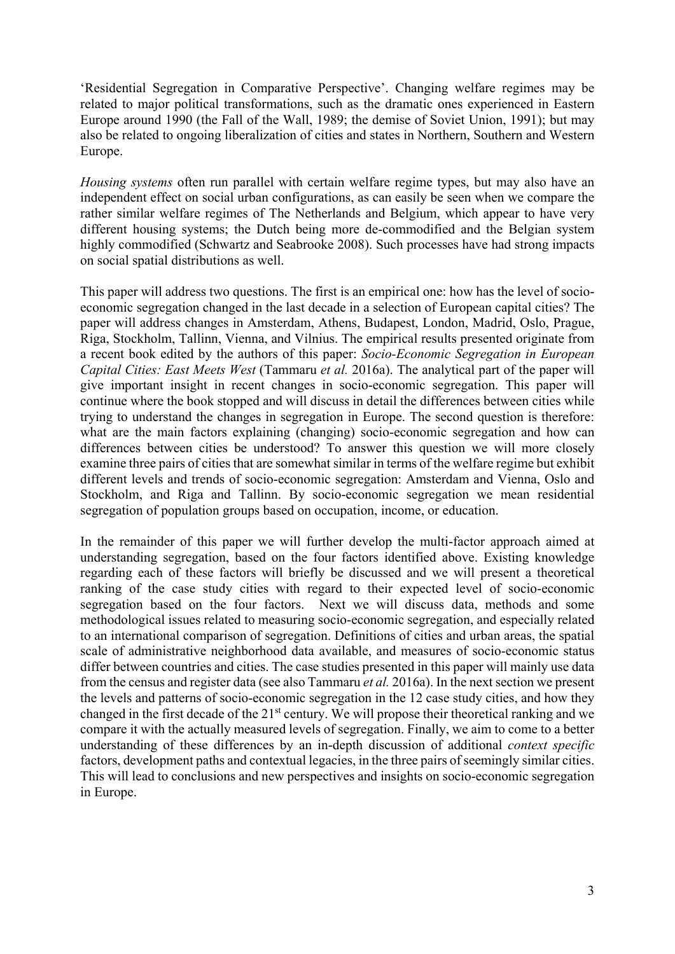'Residential Segregation in Comparative Perspective'. Changing welfare regimes may be related to major political transformations, such as the dramatic ones experienced in Eastern Europe around 1990 (the Fall of the Wall, 1989; the demise of Soviet Union, 1991); but may also be related to ongoing liberalization of cities and states in Northern, Southern and Western Europe.

*Housing systems* often run parallel with certain welfare regime types, but may also have an independent effect on social urban configurations, as can easily be seen when we compare the rather similar welfare regimes of The Netherlands and Belgium, which appear to have very different housing systems; the Dutch being more de-commodified and the Belgian system highly commodified (Schwartz and Seabrooke 2008). Such processes have had strong impacts on social spatial distributions as well.

This paper will address two questions. The first is an empirical one: how has the level of socioeconomic segregation changed in the last decade in a selection of European capital cities? The paper will address changes in Amsterdam, Athens, Budapest, London, Madrid, Oslo, Prague, Riga, Stockholm, Tallinn, Vienna, and Vilnius. The empirical results presented originate from a recent book edited by the authors of this paper: *Socio-Economic Segregation in European Capital Cities: East Meets West* (Tammaru *et al.* 2016a). The analytical part of the paper will give important insight in recent changes in socio-economic segregation. This paper will continue where the book stopped and will discuss in detail the differences between cities while trying to understand the changes in segregation in Europe. The second question is therefore: what are the main factors explaining (changing) socio-economic segregation and how can differences between cities be understood? To answer this question we will more closely examine three pairs of cities that are somewhat similar in terms of the welfare regime but exhibit different levels and trends of socio-economic segregation: Amsterdam and Vienna, Oslo and Stockholm, and Riga and Tallinn. By socio-economic segregation we mean residential segregation of population groups based on occupation, income, or education.

In the remainder of this paper we will further develop the multi-factor approach aimed at understanding segregation, based on the four factors identified above. Existing knowledge regarding each of these factors will briefly be discussed and we will present a theoretical ranking of the case study cities with regard to their expected level of socio-economic segregation based on the four factors. Next we will discuss data, methods and some methodological issues related to measuring socio-economic segregation, and especially related to an international comparison of segregation. Definitions of cities and urban areas, the spatial scale of administrative neighborhood data available, and measures of socio-economic status differ between countries and cities. The case studies presented in this paper will mainly use data from the census and register data (see also Tammaru *et al.* 2016a). In the next section we present the levels and patterns of socio-economic segregation in the 12 case study cities, and how they changed in the first decade of the 21st century. We will propose their theoretical ranking and we compare it with the actually measured levels of segregation. Finally, we aim to come to a better understanding of these differences by an in-depth discussion of additional *context specific* factors, development paths and contextual legacies, in the three pairs of seemingly similar cities. This will lead to conclusions and new perspectives and insights on socio-economic segregation in Europe.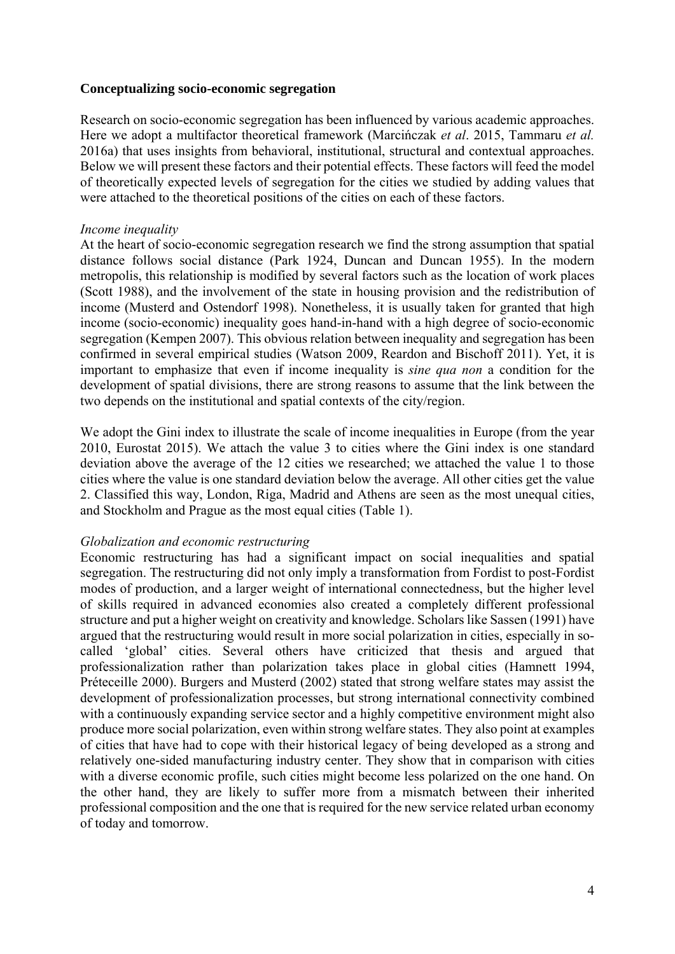#### **Conceptualizing socio-economic segregation**

Research on socio-economic segregation has been influenced by various academic approaches. Here we adopt a multifactor theoretical framework (Marcińczak *et al*. 2015, Tammaru *et al.* 2016a) that uses insights from behavioral, institutional, structural and contextual approaches. Below we will present these factors and their potential effects. These factors will feed the model of theoretically expected levels of segregation for the cities we studied by adding values that were attached to the theoretical positions of the cities on each of these factors.

#### *Income inequality*

At the heart of socio-economic segregation research we find the strong assumption that spatial distance follows social distance (Park 1924, Duncan and Duncan 1955). In the modern metropolis, this relationship is modified by several factors such as the location of work places (Scott 1988), and the involvement of the state in housing provision and the redistribution of income (Musterd and Ostendorf 1998). Nonetheless, it is usually taken for granted that high income (socio-economic) inequality goes hand-in-hand with a high degree of socio-economic segregation (Kempen 2007). This obvious relation between inequality and segregation has been confirmed in several empirical studies (Watson 2009, Reardon and Bischoff 2011). Yet, it is important to emphasize that even if income inequality is *sine qua non* a condition for the development of spatial divisions, there are strong reasons to assume that the link between the two depends on the institutional and spatial contexts of the city/region.

We adopt the Gini index to illustrate the scale of income inequalities in Europe (from the year 2010, Eurostat 2015). We attach the value 3 to cities where the Gini index is one standard deviation above the average of the 12 cities we researched; we attached the value 1 to those cities where the value is one standard deviation below the average. All other cities get the value 2. Classified this way, London, Riga, Madrid and Athens are seen as the most unequal cities, and Stockholm and Prague as the most equal cities (Table 1).

#### *Globalization and economic restructuring*

Economic restructuring has had a significant impact on social inequalities and spatial segregation. The restructuring did not only imply a transformation from Fordist to post-Fordist modes of production, and a larger weight of international connectedness, but the higher level of skills required in advanced economies also created a completely different professional structure and put a higher weight on creativity and knowledge. Scholars like Sassen (1991) have argued that the restructuring would result in more social polarization in cities, especially in socalled 'global' cities. Several others have criticized that thesis and argued that professionalization rather than polarization takes place in global cities (Hamnett 1994, Préteceille 2000). Burgers and Musterd (2002) stated that strong welfare states may assist the development of professionalization processes, but strong international connectivity combined with a continuously expanding service sector and a highly competitive environment might also produce more social polarization, even within strong welfare states. They also point at examples of cities that have had to cope with their historical legacy of being developed as a strong and relatively one-sided manufacturing industry center. They show that in comparison with cities with a diverse economic profile, such cities might become less polarized on the one hand. On the other hand, they are likely to suffer more from a mismatch between their inherited professional composition and the one that is required for the new service related urban economy of today and tomorrow.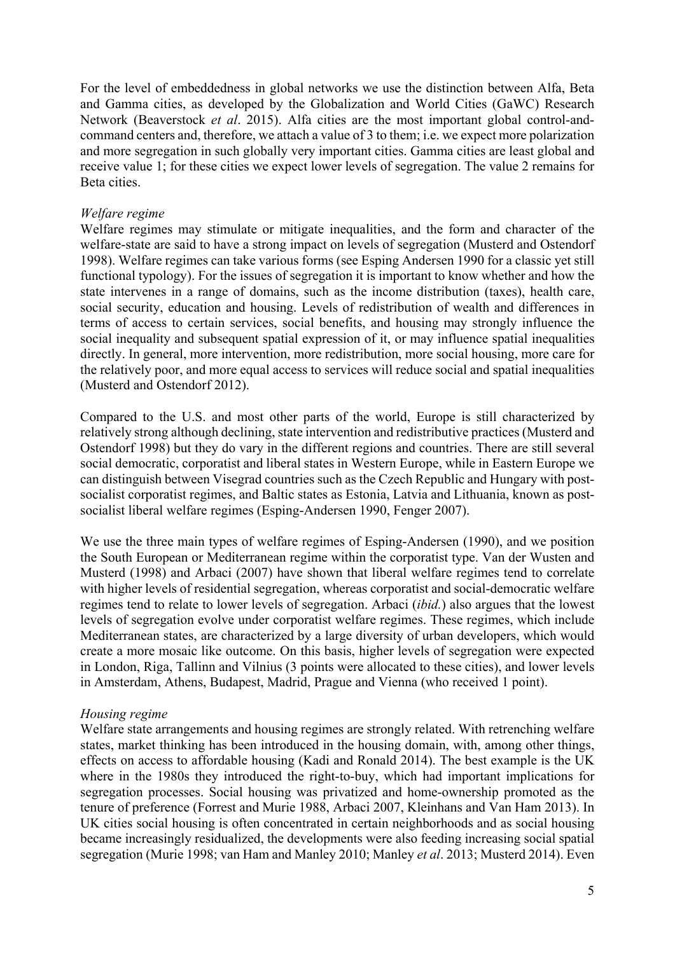For the level of embeddedness in global networks we use the distinction between Alfa, Beta and Gamma cities, as developed by the Globalization and World Cities (GaWC) Research Network (Beaverstock *et al*. 2015). Alfa cities are the most important global control-andcommand centers and, therefore, we attach a value of 3 to them; i.e. we expect more polarization and more segregation in such globally very important cities. Gamma cities are least global and receive value 1; for these cities we expect lower levels of segregation. The value 2 remains for Beta cities.

#### *Welfare regime*

Welfare regimes may stimulate or mitigate inequalities, and the form and character of the welfare-state are said to have a strong impact on levels of segregation (Musterd and Ostendorf 1998). Welfare regimes can take various forms (see Esping Andersen 1990 for a classic yet still functional typology). For the issues of segregation it is important to know whether and how the state intervenes in a range of domains, such as the income distribution (taxes), health care, social security, education and housing. Levels of redistribution of wealth and differences in terms of access to certain services, social benefits, and housing may strongly influence the social inequality and subsequent spatial expression of it, or may influence spatial inequalities directly. In general, more intervention, more redistribution, more social housing, more care for the relatively poor, and more equal access to services will reduce social and spatial inequalities (Musterd and Ostendorf 2012).

Compared to the U.S. and most other parts of the world, Europe is still characterized by relatively strong although declining, state intervention and redistributive practices (Musterd and Ostendorf 1998) but they do vary in the different regions and countries. There are still several social democratic, corporatist and liberal states in Western Europe, while in Eastern Europe we can distinguish between Visegrad countries such as the Czech Republic and Hungary with postsocialist corporatist regimes, and Baltic states as Estonia, Latvia and Lithuania, known as postsocialist liberal welfare regimes (Esping-Andersen 1990, Fenger 2007).

We use the three main types of welfare regimes of Esping-Andersen (1990), and we position the South European or Mediterranean regime within the corporatist type. Van der Wusten and Musterd (1998) and Arbaci (2007) have shown that liberal welfare regimes tend to correlate with higher levels of residential segregation, whereas corporatist and social-democratic welfare regimes tend to relate to lower levels of segregation. Arbaci (*ibid.*) also argues that the lowest levels of segregation evolve under corporatist welfare regimes. These regimes, which include Mediterranean states, are characterized by a large diversity of urban developers, which would create a more mosaic like outcome. On this basis, higher levels of segregation were expected in London, Riga, Tallinn and Vilnius (3 points were allocated to these cities), and lower levels in Amsterdam, Athens, Budapest, Madrid, Prague and Vienna (who received 1 point).

#### *Housing regime*

Welfare state arrangements and housing regimes are strongly related. With retrenching welfare states, market thinking has been introduced in the housing domain, with, among other things, effects on access to affordable housing (Kadi and Ronald 2014). The best example is the UK where in the 1980s they introduced the right-to-buy, which had important implications for segregation processes. Social housing was privatized and home-ownership promoted as the tenure of preference (Forrest and Murie 1988, Arbaci 2007, Kleinhans and Van Ham 2013). In UK cities social housing is often concentrated in certain neighborhoods and as social housing became increasingly residualized, the developments were also feeding increasing social spatial segregation (Murie 1998; van Ham and Manley 2010; Manley *et al*. 2013; Musterd 2014). Even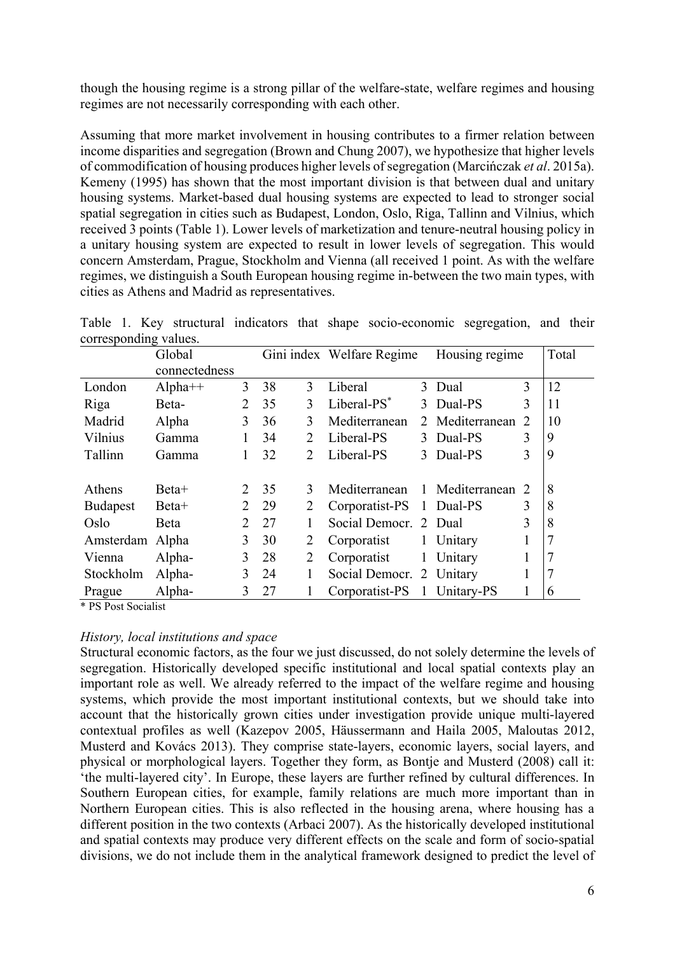though the housing regime is a strong pillar of the welfare-state, welfare regimes and housing regimes are not necessarily corresponding with each other.

Assuming that more market involvement in housing contributes to a firmer relation between income disparities and segregation (Brown and Chung 2007), we hypothesize that higher levels of commodification of housing produces higher levels of segregation (Marcińczak *et al*. 2015a). Kemeny (1995) has shown that the most important division is that between dual and unitary housing systems. Market-based dual housing systems are expected to lead to stronger social spatial segregation in cities such as Budapest, London, Oslo, Riga, Tallinn and Vilnius, which received 3 points (Table 1). Lower levels of marketization and tenure-neutral housing policy in a unitary housing system are expected to result in lower levels of segregation. This would concern Amsterdam, Prague, Stockholm and Vienna (all received 1 point. As with the welfare regimes, we distinguish a South European housing regime in-between the two main types, with cities as Athens and Madrid as representatives.

Table 1. Key structural indicators that shape socio-economic segregation, and their corresponding values.

|                 | Global        |                |    |                             | Gini index Welfare Regime |                | Housing regime  |   | Total |
|-----------------|---------------|----------------|----|-----------------------------|---------------------------|----------------|-----------------|---|-------|
|                 | connectedness |                |    |                             |                           |                |                 |   |       |
| London          | $Alpha++$     | 3              | 38 | 3                           | Liberal                   |                | 3 Dual          | 3 | 12    |
| Riga            | Beta-         | $\overline{2}$ | 35 | 3                           | Liberal-PS <sup>*</sup>   | $\mathcal{E}$  | Dual-PS         | 3 | 11    |
| Madrid          | Alpha         | 3              | 36 | 3                           | Mediterranean             | 2              | Mediterranean   | 2 | 10    |
| Vilnius         | Gamma         |                | 34 | $\mathcal{D}_{\cdot}$       | Liberal-PS                |                | 3 Dual-PS       | 3 | 9     |
| Tallinn         | Gamma         |                | 32 | $\mathcal{D}_{\mathcal{L}}$ | Liberal-PS                |                | 3 Dual-PS       | 3 | 9     |
|                 |               |                |    |                             |                           |                |                 |   |       |
| Athens          | Beta+         | 2              | 35 | 3                           | Mediterranean             | $\mathbf{1}$   | Mediterranean 2 |   | 8     |
| <b>Budapest</b> | Beta+         | 2              | 29 | 2                           | Corporatist-PS            |                | 1 Dual-PS       | 3 | 8     |
| Oslo            | Beta          | 2              | 27 |                             | Social Democr. 2 Dual     |                |                 | 3 | 8     |
| Amsterdam       | Alpha         | 3              | 30 | 2                           | Corporatist               |                | 1 Unitary       |   | 7     |
| Vienna          | Alpha-        | 3              | 28 | 2                           | Corporatist               | 1              | Unitary         |   | 7     |
| Stockholm       | Alpha-        | 3              | 24 | 1                           | Social Democr. 2 Unitary  |                |                 |   | 7     |
| Prague          | Alpha-        | 3              | 27 |                             | Corporatist-PS            | $\overline{1}$ | Unitary-PS      |   | 6     |

\* PS Post Socialist

#### *History, local institutions and space*

Structural economic factors, as the four we just discussed, do not solely determine the levels of segregation. Historically developed specific institutional and local spatial contexts play an important role as well. We already referred to the impact of the welfare regime and housing systems, which provide the most important institutional contexts, but we should take into account that the historically grown cities under investigation provide unique multi-layered contextual profiles as well (Kazepov 2005, Häussermann and Haila 2005, Maloutas 2012, Musterd and Kovács 2013). They comprise state-layers, economic layers, social layers, and physical or morphological layers. Together they form, as Bontje and Musterd (2008) call it: 'the multi-layered city'. In Europe, these layers are further refined by cultural differences. In Southern European cities, for example, family relations are much more important than in Northern European cities. This is also reflected in the housing arena, where housing has a different position in the two contexts (Arbaci 2007). As the historically developed institutional and spatial contexts may produce very different effects on the scale and form of socio-spatial divisions, we do not include them in the analytical framework designed to predict the level of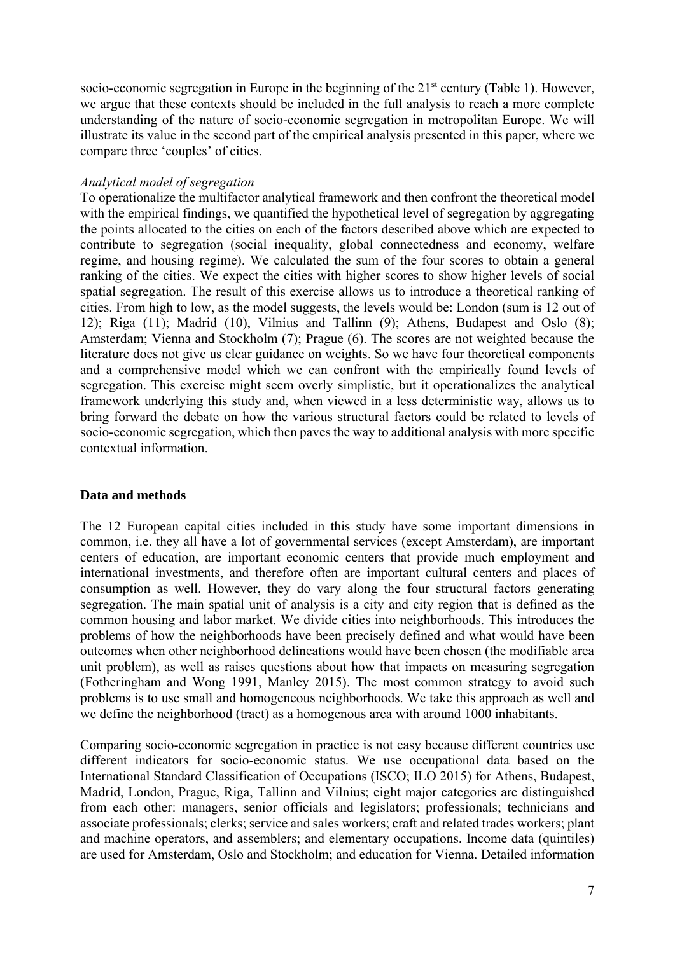socio-economic segregation in Europe in the beginning of the  $21<sup>st</sup>$  century (Table 1). However, we argue that these contexts should be included in the full analysis to reach a more complete understanding of the nature of socio-economic segregation in metropolitan Europe. We will illustrate its value in the second part of the empirical analysis presented in this paper, where we compare three 'couples' of cities.

#### *Analytical model of segregation*

To operationalize the multifactor analytical framework and then confront the theoretical model with the empirical findings, we quantified the hypothetical level of segregation by aggregating the points allocated to the cities on each of the factors described above which are expected to contribute to segregation (social inequality, global connectedness and economy, welfare regime, and housing regime). We calculated the sum of the four scores to obtain a general ranking of the cities. We expect the cities with higher scores to show higher levels of social spatial segregation. The result of this exercise allows us to introduce a theoretical ranking of cities. From high to low, as the model suggests, the levels would be: London (sum is 12 out of 12); Riga (11); Madrid (10), Vilnius and Tallinn (9); Athens, Budapest and Oslo (8); Amsterdam; Vienna and Stockholm (7); Prague (6). The scores are not weighted because the literature does not give us clear guidance on weights. So we have four theoretical components and a comprehensive model which we can confront with the empirically found levels of segregation. This exercise might seem overly simplistic, but it operationalizes the analytical framework underlying this study and, when viewed in a less deterministic way, allows us to bring forward the debate on how the various structural factors could be related to levels of socio-economic segregation, which then paves the way to additional analysis with more specific contextual information.

#### **Data and methods**

The 12 European capital cities included in this study have some important dimensions in common, i.e. they all have a lot of governmental services (except Amsterdam), are important centers of education, are important economic centers that provide much employment and international investments, and therefore often are important cultural centers and places of consumption as well. However, they do vary along the four structural factors generating segregation. The main spatial unit of analysis is a city and city region that is defined as the common housing and labor market. We divide cities into neighborhoods. This introduces the problems of how the neighborhoods have been precisely defined and what would have been outcomes when other neighborhood delineations would have been chosen (the modifiable area unit problem), as well as raises questions about how that impacts on measuring segregation (Fotheringham and Wong 1991, Manley 2015). The most common strategy to avoid such problems is to use small and homogeneous neighborhoods. We take this approach as well and we define the neighborhood (tract) as a homogenous area with around 1000 inhabitants.

Comparing socio-economic segregation in practice is not easy because different countries use different indicators for socio-economic status. We use occupational data based on the International Standard Classification of Occupations (ISCO; ILO 2015) for Athens, Budapest, Madrid, London, Prague, Riga, Tallinn and Vilnius; eight major categories are distinguished from each other: managers, senior officials and legislators; professionals; technicians and associate professionals; clerks; service and sales workers; craft and related trades workers; plant and machine operators, and assemblers; and elementary occupations. Income data (quintiles) are used for Amsterdam, Oslo and Stockholm; and education for Vienna. Detailed information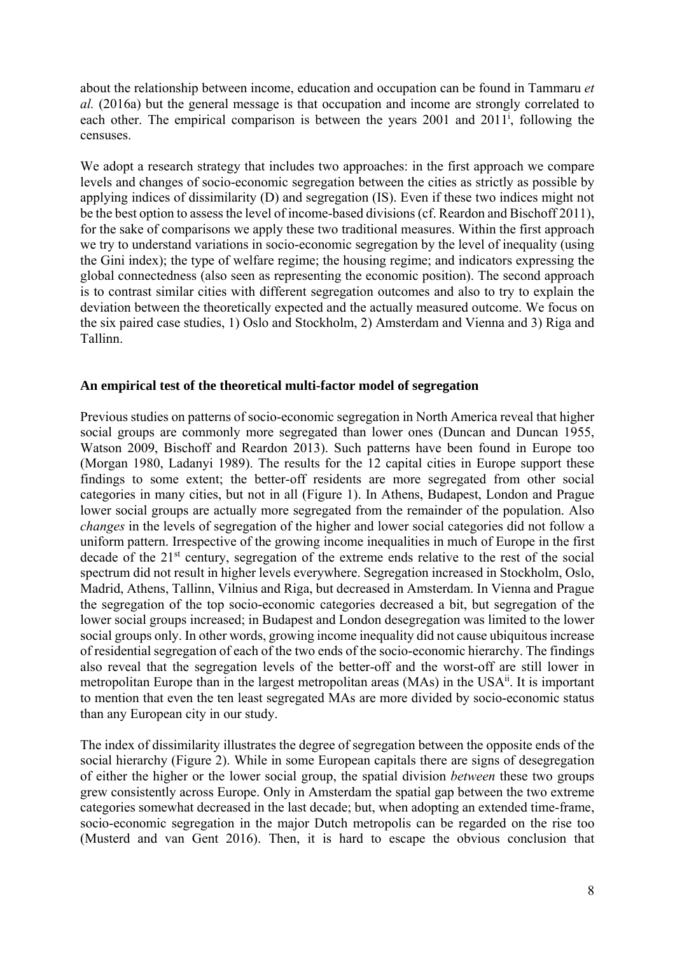about the relationship between income, education and occupation can be found in Tammaru *et al.* (2016a) but the general message is that occupation and income are strongly correlated to each other. The empirical comparison is between the years 2001 and 2011<sup>i</sup>, following the censuses.

We adopt a research strategy that includes two approaches: in the first approach we compare levels and changes of socio-economic segregation between the cities as strictly as possible by applying indices of dissimilarity (D) and segregation (IS). Even if these two indices might not be the best option to assess the level of income-based divisions (cf. Reardon and Bischoff 2011), for the sake of comparisons we apply these two traditional measures. Within the first approach we try to understand variations in socio-economic segregation by the level of inequality (using the Gini index); the type of welfare regime; the housing regime; and indicators expressing the global connectedness (also seen as representing the economic position). The second approach is to contrast similar cities with different segregation outcomes and also to try to explain the deviation between the theoretically expected and the actually measured outcome. We focus on the six paired case studies, 1) Oslo and Stockholm, 2) Amsterdam and Vienna and 3) Riga and Tallinn.

#### **An empirical test of the theoretical multi-factor model of segregation**

Previous studies on patterns of socio-economic segregation in North America reveal that higher social groups are commonly more segregated than lower ones (Duncan and Duncan 1955, Watson 2009, Bischoff and Reardon 2013). Such patterns have been found in Europe too (Morgan 1980, Ladanyi 1989). The results for the 12 capital cities in Europe support these findings to some extent; the better-off residents are more segregated from other social categories in many cities, but not in all (Figure 1). In Athens, Budapest, London and Prague lower social groups are actually more segregated from the remainder of the population. Also *changes* in the levels of segregation of the higher and lower social categories did not follow a uniform pattern. Irrespective of the growing income inequalities in much of Europe in the first decade of the 21<sup>st</sup> century, segregation of the extreme ends relative to the rest of the social spectrum did not result in higher levels everywhere. Segregation increased in Stockholm, Oslo, Madrid, Athens, Tallinn, Vilnius and Riga, but decreased in Amsterdam. In Vienna and Prague the segregation of the top socio-economic categories decreased a bit, but segregation of the lower social groups increased; in Budapest and London desegregation was limited to the lower social groups only. In other words, growing income inequality did not cause ubiquitous increase of residential segregation of each of the two ends of the socio-economic hierarchy. The findings also reveal that the segregation levels of the better-off and the worst-off are still lower in metropolitan Europe than in the largest metropolitan areas (MAs) in the USA<sup>ii</sup>. It is important to mention that even the ten least segregated MAs are more divided by socio-economic status than any European city in our study.

The index of dissimilarity illustrates the degree of segregation between the opposite ends of the social hierarchy (Figure 2). While in some European capitals there are signs of desegregation of either the higher or the lower social group, the spatial division *between* these two groups grew consistently across Europe. Only in Amsterdam the spatial gap between the two extreme categories somewhat decreased in the last decade; but, when adopting an extended time-frame, socio-economic segregation in the major Dutch metropolis can be regarded on the rise too (Musterd and van Gent 2016). Then, it is hard to escape the obvious conclusion that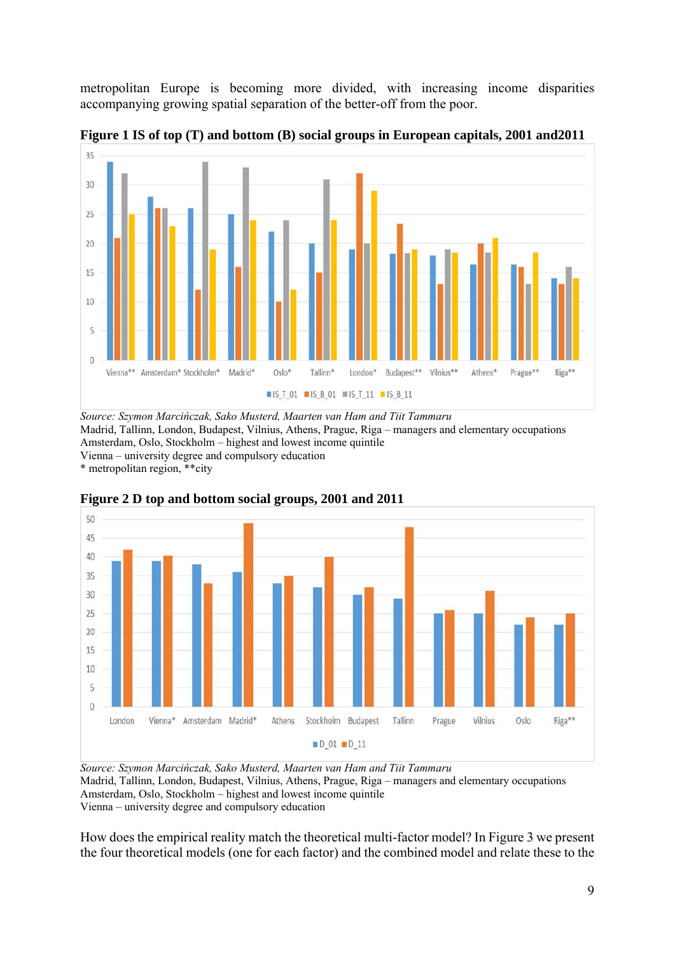metropolitan Europe is becoming more divided, with increasing income disparities accompanying growing spatial separation of the better-off from the poor.



**Figure 1 IS of top (T) and bottom (B) social groups in European capitals, 2001 and2011** 

*Source: Szymon Marcińczak, Sako Musterd, Maarten van Ham and Tiit Tammaru* Madrid, Tallinn, London, Budapest, Vilnius, Athens, Prague, Riga – managers and elementary occupations Amsterdam, Oslo, Stockholm – highest and lowest income quintile Vienna – university degree and compulsory education

\* metropolitan region, \*\*city



**Figure 2 D top and bottom social groups, 2001 and 2011** 

*Source: Szymon Marcińczak, Sako Musterd, Maarten van Ham and Tiit Tammaru* Madrid, Tallinn, London, Budapest, Vilnius, Athens, Prague, Riga – managers and elementary occupations Amsterdam, Oslo, Stockholm – highest and lowest income quintile Vienna – university degree and compulsory education

How does the empirical reality match the theoretical multi-factor model? In Figure 3 we present the four theoretical models (one for each factor) and the combined model and relate these to the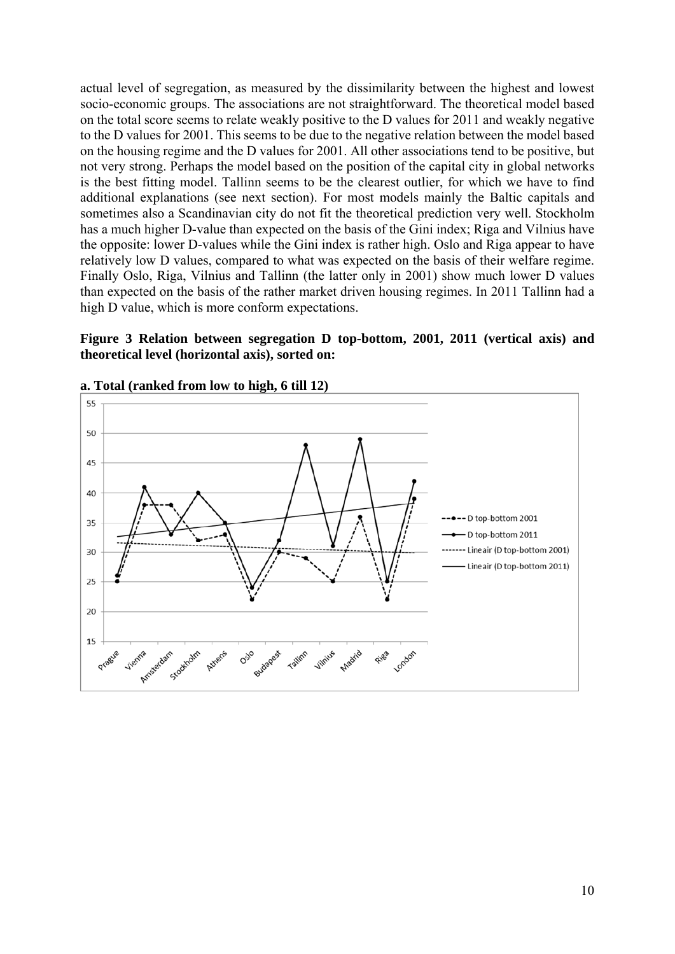actual level of segregation, as measured by the dissimilarity between the highest and lowest socio-economic groups. The associations are not straightforward. The theoretical model based on the total score seems to relate weakly positive to the D values for 2011 and weakly negative to the D values for 2001. This seems to be due to the negative relation between the model based on the housing regime and the D values for 2001. All other associations tend to be positive, but not very strong. Perhaps the model based on the position of the capital city in global networks is the best fitting model. Tallinn seems to be the clearest outlier, for which we have to find additional explanations (see next section). For most models mainly the Baltic capitals and sometimes also a Scandinavian city do not fit the theoretical prediction very well. Stockholm has a much higher D-value than expected on the basis of the Gini index; Riga and Vilnius have the opposite: lower D-values while the Gini index is rather high. Oslo and Riga appear to have relatively low D values, compared to what was expected on the basis of their welfare regime. Finally Oslo, Riga, Vilnius and Tallinn (the latter only in 2001) show much lower D values than expected on the basis of the rather market driven housing regimes. In 2011 Tallinn had a high D value, which is more conform expectations.

**Figure 3 Relation between segregation D top-bottom, 2001, 2011 (vertical axis) and theoretical level (horizontal axis), sorted on:** 



**a. Total (ranked from low to high, 6 till 12)**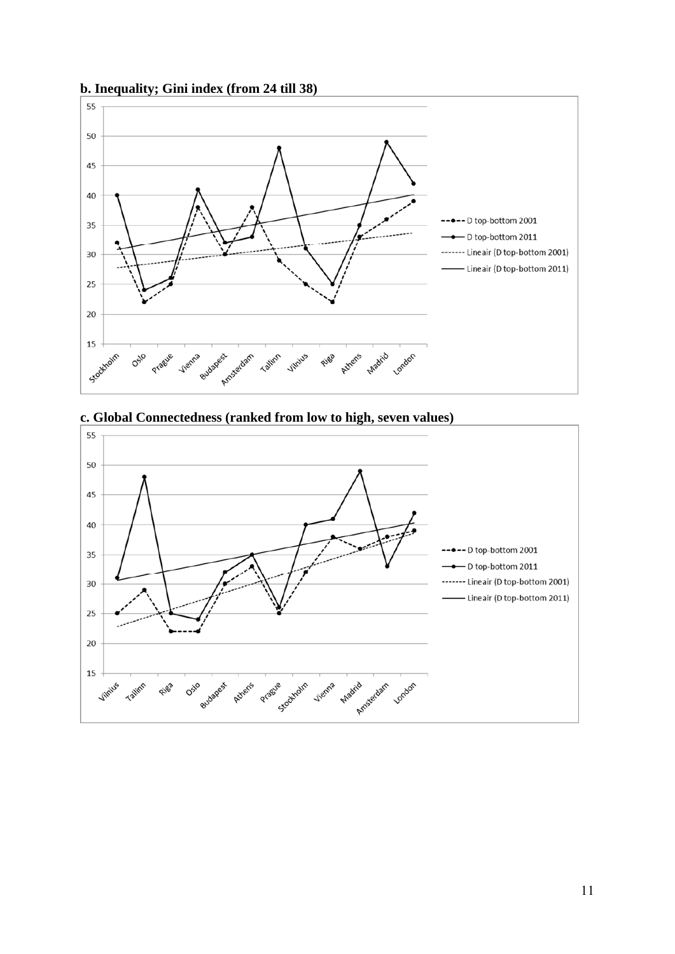

#### **b. Inequality; Gini index (from 24 till 38)**

**c. Global Connectedness (ranked from low to high, seven values)** 

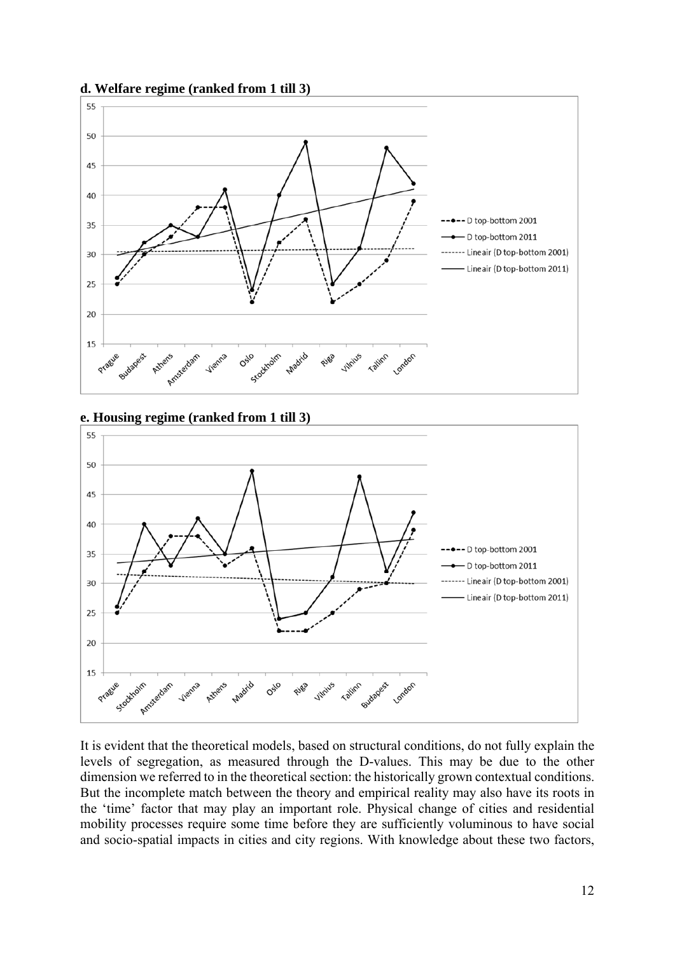

#### **d. Welfare regime (ranked from 1 till 3)**

**e. Housing regime (ranked from 1 till 3)** 



It is evident that the theoretical models, based on structural conditions, do not fully explain the levels of segregation, as measured through the D-values. This may be due to the other dimension we referred to in the theoretical section: the historically grown contextual conditions. But the incomplete match between the theory and empirical reality may also have its roots in the 'time' factor that may play an important role. Physical change of cities and residential mobility processes require some time before they are sufficiently voluminous to have social and socio-spatial impacts in cities and city regions. With knowledge about these two factors,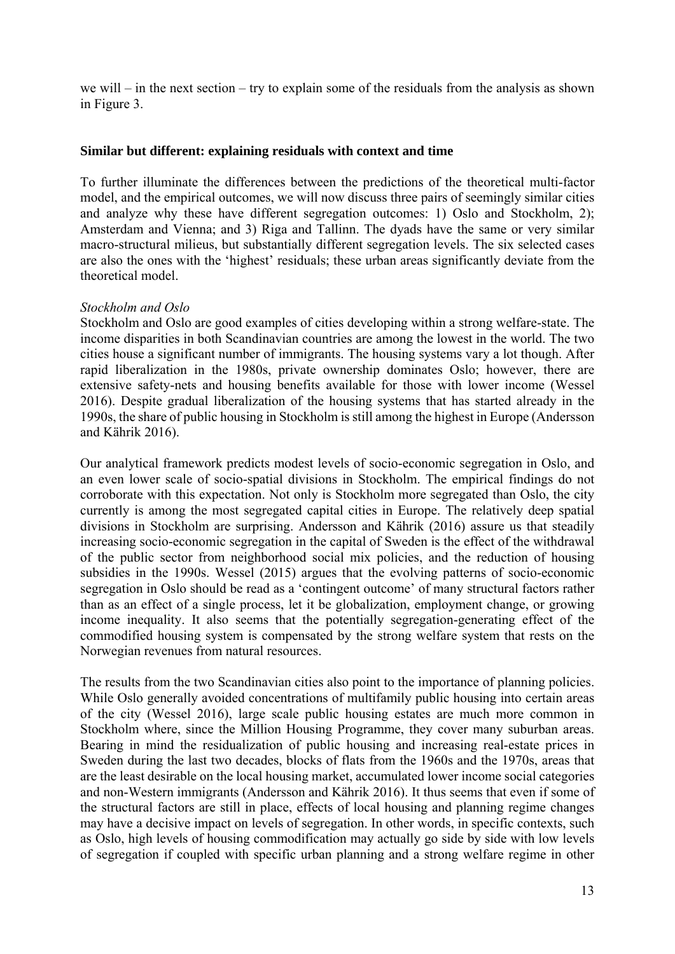we will – in the next section – try to explain some of the residuals from the analysis as shown in Figure 3.

#### **Similar but different: explaining residuals with context and time**

To further illuminate the differences between the predictions of the theoretical multi-factor model, and the empirical outcomes, we will now discuss three pairs of seemingly similar cities and analyze why these have different segregation outcomes: 1) Oslo and Stockholm, 2); Amsterdam and Vienna; and 3) Riga and Tallinn. The dyads have the same or very similar macro-structural milieus, but substantially different segregation levels. The six selected cases are also the ones with the 'highest' residuals; these urban areas significantly deviate from the theoretical model.

#### *Stockholm and Oslo*

Stockholm and Oslo are good examples of cities developing within a strong welfare-state. The income disparities in both Scandinavian countries are among the lowest in the world. The two cities house a significant number of immigrants. The housing systems vary a lot though. After rapid liberalization in the 1980s, private ownership dominates Oslo; however, there are extensive safety-nets and housing benefits available for those with lower income (Wessel 2016). Despite gradual liberalization of the housing systems that has started already in the 1990s, the share of public housing in Stockholm is still among the highest in Europe (Andersson and Kährik 2016).

Our analytical framework predicts modest levels of socio-economic segregation in Oslo, and an even lower scale of socio-spatial divisions in Stockholm. The empirical findings do not corroborate with this expectation. Not only is Stockholm more segregated than Oslo, the city currently is among the most segregated capital cities in Europe. The relatively deep spatial divisions in Stockholm are surprising. Andersson and Kährik (2016) assure us that steadily increasing socio-economic segregation in the capital of Sweden is the effect of the withdrawal of the public sector from neighborhood social mix policies, and the reduction of housing subsidies in the 1990s. Wessel (2015) argues that the evolving patterns of socio-economic segregation in Oslo should be read as a 'contingent outcome' of many structural factors rather than as an effect of a single process, let it be globalization, employment change, or growing income inequality. It also seems that the potentially segregation-generating effect of the commodified housing system is compensated by the strong welfare system that rests on the Norwegian revenues from natural resources.

The results from the two Scandinavian cities also point to the importance of planning policies. While Oslo generally avoided concentrations of multifamily public housing into certain areas of the city (Wessel 2016), large scale public housing estates are much more common in Stockholm where, since the Million Housing Programme, they cover many suburban areas. Bearing in mind the residualization of public housing and increasing real-estate prices in Sweden during the last two decades, blocks of flats from the 1960s and the 1970s, areas that are the least desirable on the local housing market, accumulated lower income social categories and non-Western immigrants (Andersson and Kährik 2016). It thus seems that even if some of the structural factors are still in place, effects of local housing and planning regime changes may have a decisive impact on levels of segregation. In other words, in specific contexts, such as Oslo, high levels of housing commodification may actually go side by side with low levels of segregation if coupled with specific urban planning and a strong welfare regime in other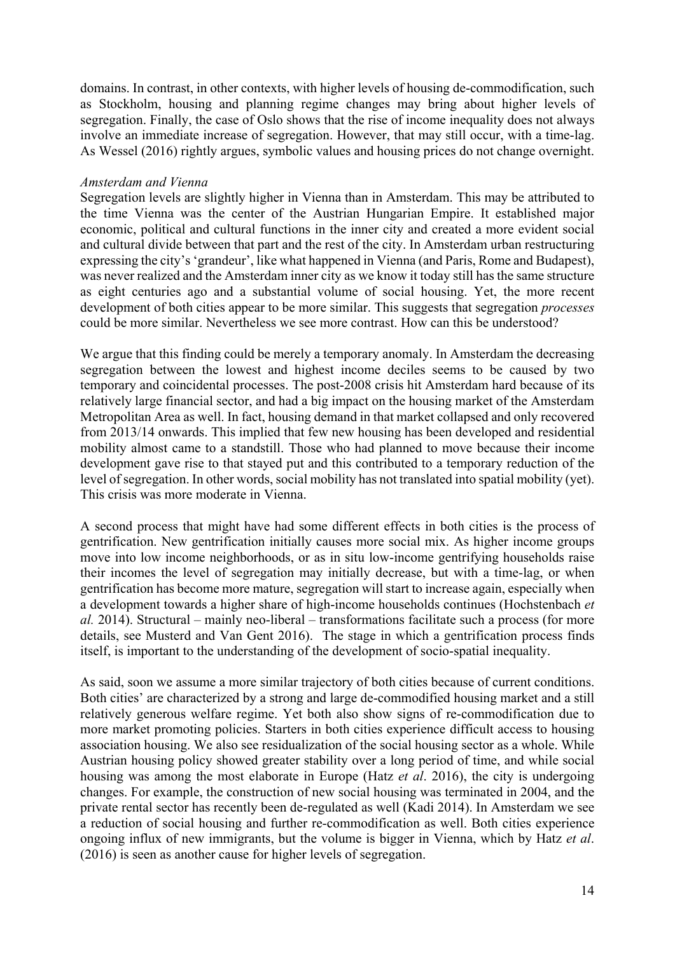domains. In contrast, in other contexts, with higher levels of housing de-commodification, such as Stockholm, housing and planning regime changes may bring about higher levels of segregation. Finally, the case of Oslo shows that the rise of income inequality does not always involve an immediate increase of segregation. However, that may still occur, with a time-lag. As Wessel (2016) rightly argues, symbolic values and housing prices do not change overnight.

#### *Amsterdam and Vienna*

Segregation levels are slightly higher in Vienna than in Amsterdam. This may be attributed to the time Vienna was the center of the Austrian Hungarian Empire. It established major economic, political and cultural functions in the inner city and created a more evident social and cultural divide between that part and the rest of the city. In Amsterdam urban restructuring expressing the city's 'grandeur', like what happened in Vienna (and Paris, Rome and Budapest), was never realized and the Amsterdam inner city as we know it today still has the same structure as eight centuries ago and a substantial volume of social housing. Yet, the more recent development of both cities appear to be more similar. This suggests that segregation *processes* could be more similar. Nevertheless we see more contrast. How can this be understood?

We argue that this finding could be merely a temporary anomaly. In Amsterdam the decreasing segregation between the lowest and highest income deciles seems to be caused by two temporary and coincidental processes. The post-2008 crisis hit Amsterdam hard because of its relatively large financial sector, and had a big impact on the housing market of the Amsterdam Metropolitan Area as well. In fact, housing demand in that market collapsed and only recovered from 2013/14 onwards. This implied that few new housing has been developed and residential mobility almost came to a standstill. Those who had planned to move because their income development gave rise to that stayed put and this contributed to a temporary reduction of the level of segregation. In other words, social mobility has not translated into spatial mobility (yet). This crisis was more moderate in Vienna.

A second process that might have had some different effects in both cities is the process of gentrification. New gentrification initially causes more social mix. As higher income groups move into low income neighborhoods, or as in situ low-income gentrifying households raise their incomes the level of segregation may initially decrease, but with a time-lag, or when gentrification has become more mature, segregation will start to increase again, especially when a development towards a higher share of high-income households continues (Hochstenbach *et al.* 2014). Structural – mainly neo-liberal – transformations facilitate such a process (for more details, see Musterd and Van Gent 2016). The stage in which a gentrification process finds itself, is important to the understanding of the development of socio-spatial inequality.

As said, soon we assume a more similar trajectory of both cities because of current conditions. Both cities' are characterized by a strong and large de-commodified housing market and a still relatively generous welfare regime. Yet both also show signs of re-commodification due to more market promoting policies. Starters in both cities experience difficult access to housing association housing. We also see residualization of the social housing sector as a whole. While Austrian housing policy showed greater stability over a long period of time, and while social housing was among the most elaborate in Europe (Hatz *et al*. 2016), the city is undergoing changes. For example, the construction of new social housing was terminated in 2004, and the private rental sector has recently been de-regulated as well (Kadi 2014). In Amsterdam we see a reduction of social housing and further re-commodification as well. Both cities experience ongoing influx of new immigrants, but the volume is bigger in Vienna, which by Hatz *et al*. (2016) is seen as another cause for higher levels of segregation.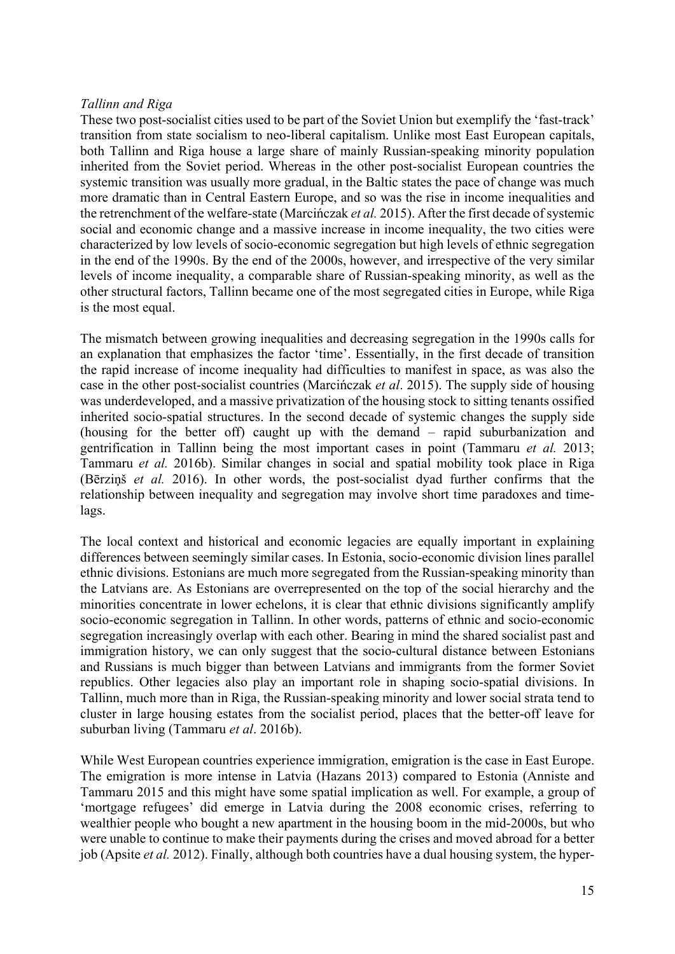#### *Tallinn and Riga*

These two post-socialist cities used to be part of the Soviet Union but exemplify the 'fast-track' transition from state socialism to neo-liberal capitalism. Unlike most East European capitals, both Tallinn and Riga house a large share of mainly Russian-speaking minority population inherited from the Soviet period. Whereas in the other post-socialist European countries the systemic transition was usually more gradual, in the Baltic states the pace of change was much more dramatic than in Central Eastern Europe, and so was the rise in income inequalities and the retrenchment of the welfare-state (Marcińczak *et al.* 2015). After the first decade of systemic social and economic change and a massive increase in income inequality, the two cities were characterized by low levels of socio-economic segregation but high levels of ethnic segregation in the end of the 1990s. By the end of the 2000s, however, and irrespective of the very similar levels of income inequality, a comparable share of Russian-speaking minority, as well as the other structural factors, Tallinn became one of the most segregated cities in Europe, while Riga is the most equal.

The mismatch between growing inequalities and decreasing segregation in the 1990s calls for an explanation that emphasizes the factor 'time'. Essentially, in the first decade of transition the rapid increase of income inequality had difficulties to manifest in space, as was also the case in the other post-socialist countries (Marcińczak *et al*. 2015). The supply side of housing was underdeveloped, and a massive privatization of the housing stock to sitting tenants ossified inherited socio-spatial structures. In the second decade of systemic changes the supply side (housing for the better off) caught up with the demand – rapid suburbanization and gentrification in Tallinn being the most important cases in point (Tammaru *et al.* 2013; Tammaru *et al.* 2016b). Similar changes in social and spatial mobility took place in Riga (Bērziņš *et al.* 2016). In other words, the post-socialist dyad further confirms that the relationship between inequality and segregation may involve short time paradoxes and timelags.

The local context and historical and economic legacies are equally important in explaining differences between seemingly similar cases. In Estonia, socio-economic division lines parallel ethnic divisions. Estonians are much more segregated from the Russian-speaking minority than the Latvians are. As Estonians are overrepresented on the top of the social hierarchy and the minorities concentrate in lower echelons, it is clear that ethnic divisions significantly amplify socio-economic segregation in Tallinn. In other words, patterns of ethnic and socio-economic segregation increasingly overlap with each other. Bearing in mind the shared socialist past and immigration history, we can only suggest that the socio-cultural distance between Estonians and Russians is much bigger than between Latvians and immigrants from the former Soviet republics. Other legacies also play an important role in shaping socio-spatial divisions. In Tallinn, much more than in Riga, the Russian-speaking minority and lower social strata tend to cluster in large housing estates from the socialist period, places that the better-off leave for suburban living (Tammaru *et al*. 2016b).

While West European countries experience immigration, emigration is the case in East Europe. The emigration is more intense in Latvia (Hazans 2013) compared to Estonia (Anniste and Tammaru 2015 and this might have some spatial implication as well. For example, a group of 'mortgage refugees' did emerge in Latvia during the 2008 economic crises, referring to wealthier people who bought a new apartment in the housing boom in the mid-2000s, but who were unable to continue to make their payments during the crises and moved abroad for a better job (Apsite *et al.* 2012). Finally, although both countries have a dual housing system, the hyper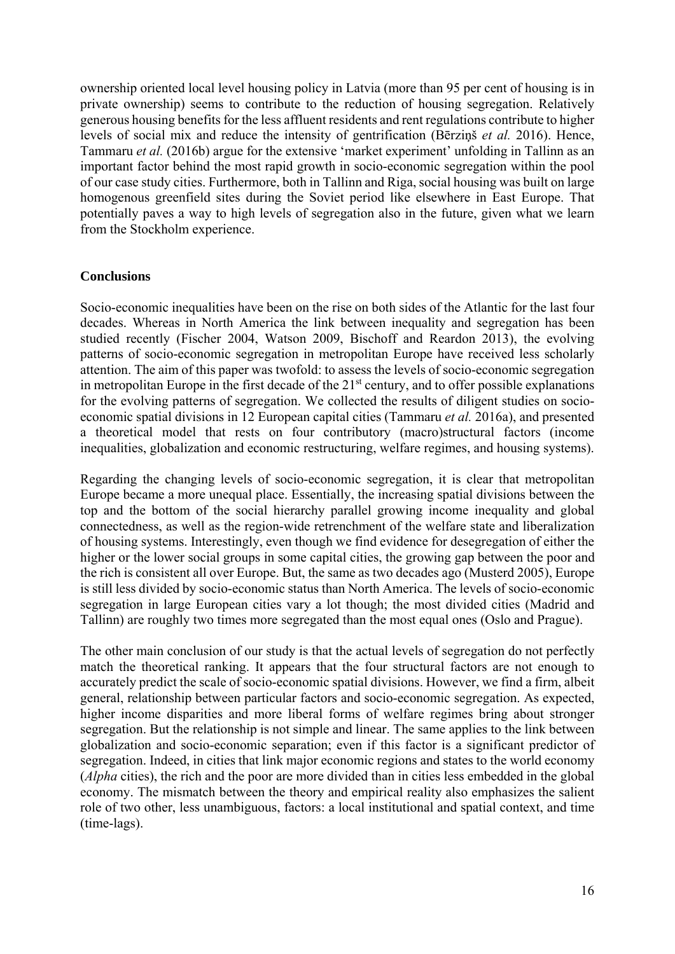ownership oriented local level housing policy in Latvia (more than 95 per cent of housing is in private ownership) seems to contribute to the reduction of housing segregation. Relatively generous housing benefits for the less affluent residents and rent regulations contribute to higher levels of social mix and reduce the intensity of gentrification (Bērziņš *et al.* 2016). Hence, Tammaru *et al.* (2016b) argue for the extensive 'market experiment' unfolding in Tallinn as an important factor behind the most rapid growth in socio-economic segregation within the pool of our case study cities. Furthermore, both in Tallinn and Riga, social housing was built on large homogenous greenfield sites during the Soviet period like elsewhere in East Europe. That potentially paves a way to high levels of segregation also in the future, given what we learn from the Stockholm experience.

#### **Conclusions**

Socio-economic inequalities have been on the rise on both sides of the Atlantic for the last four decades. Whereas in North America the link between inequality and segregation has been studied recently (Fischer 2004, Watson 2009, Bischoff and Reardon 2013), the evolving patterns of socio-economic segregation in metropolitan Europe have received less scholarly attention. The aim of this paper was twofold: to assess the levels of socio-economic segregation in metropolitan Europe in the first decade of the  $21<sup>st</sup>$  century, and to offer possible explanations for the evolving patterns of segregation. We collected the results of diligent studies on socioeconomic spatial divisions in 12 European capital cities (Tammaru *et al.* 2016a), and presented a theoretical model that rests on four contributory (macro)structural factors (income inequalities, globalization and economic restructuring, welfare regimes, and housing systems).

Regarding the changing levels of socio-economic segregation, it is clear that metropolitan Europe became a more unequal place. Essentially, the increasing spatial divisions between the top and the bottom of the social hierarchy parallel growing income inequality and global connectedness, as well as the region-wide retrenchment of the welfare state and liberalization of housing systems. Interestingly, even though we find evidence for desegregation of either the higher or the lower social groups in some capital cities, the growing gap between the poor and the rich is consistent all over Europe. But, the same as two decades ago (Musterd 2005), Europe is still less divided by socio-economic status than North America. The levels of socio-economic segregation in large European cities vary a lot though; the most divided cities (Madrid and Tallinn) are roughly two times more segregated than the most equal ones (Oslo and Prague).

The other main conclusion of our study is that the actual levels of segregation do not perfectly match the theoretical ranking. It appears that the four structural factors are not enough to accurately predict the scale of socio-economic spatial divisions. However, we find a firm, albeit general, relationship between particular factors and socio-economic segregation. As expected, higher income disparities and more liberal forms of welfare regimes bring about stronger segregation. But the relationship is not simple and linear. The same applies to the link between globalization and socio-economic separation; even if this factor is a significant predictor of segregation. Indeed, in cities that link major economic regions and states to the world economy (*Alpha* cities), the rich and the poor are more divided than in cities less embedded in the global economy. The mismatch between the theory and empirical reality also emphasizes the salient role of two other, less unambiguous, factors: a local institutional and spatial context, and time (time-lags).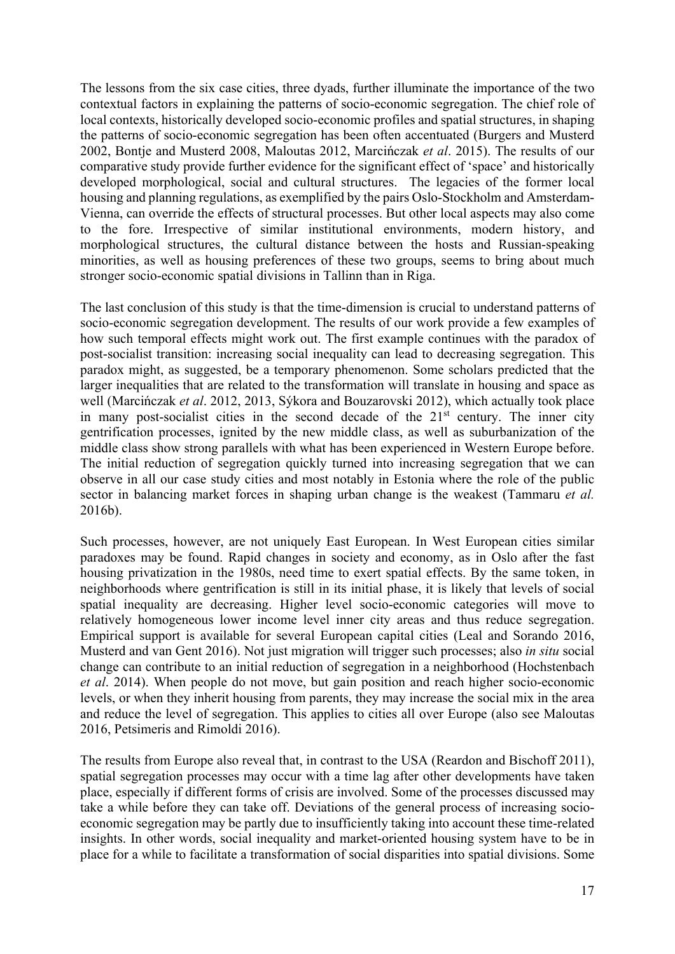The lessons from the six case cities, three dyads, further illuminate the importance of the two contextual factors in explaining the patterns of socio-economic segregation. The chief role of local contexts, historically developed socio-economic profiles and spatial structures, in shaping the patterns of socio-economic segregation has been often accentuated (Burgers and Musterd 2002, Bontje and Musterd 2008, Maloutas 2012, Marcińczak *et al*. 2015). The results of our comparative study provide further evidence for the significant effect of 'space' and historically developed morphological, social and cultural structures. The legacies of the former local housing and planning regulations, as exemplified by the pairs Oslo-Stockholm and Amsterdam-Vienna, can override the effects of structural processes. But other local aspects may also come to the fore. Irrespective of similar institutional environments, modern history, and morphological structures, the cultural distance between the hosts and Russian-speaking minorities, as well as housing preferences of these two groups, seems to bring about much stronger socio-economic spatial divisions in Tallinn than in Riga.

The last conclusion of this study is that the time-dimension is crucial to understand patterns of socio-economic segregation development. The results of our work provide a few examples of how such temporal effects might work out. The first example continues with the paradox of post-socialist transition: increasing social inequality can lead to decreasing segregation. This paradox might, as suggested, be a temporary phenomenon. Some scholars predicted that the larger inequalities that are related to the transformation will translate in housing and space as well (Marcińczak *et al*. 2012, 2013, Sýkora and Bouzarovski 2012), which actually took place in many post-socialist cities in the second decade of the  $21<sup>st</sup>$  century. The inner city gentrification processes, ignited by the new middle class, as well as suburbanization of the middle class show strong parallels with what has been experienced in Western Europe before. The initial reduction of segregation quickly turned into increasing segregation that we can observe in all our case study cities and most notably in Estonia where the role of the public sector in balancing market forces in shaping urban change is the weakest (Tammaru *et al.* 2016b).

Such processes, however, are not uniquely East European. In West European cities similar paradoxes may be found. Rapid changes in society and economy, as in Oslo after the fast housing privatization in the 1980s, need time to exert spatial effects. By the same token, in neighborhoods where gentrification is still in its initial phase, it is likely that levels of social spatial inequality are decreasing. Higher level socio-economic categories will move to relatively homogeneous lower income level inner city areas and thus reduce segregation. Empirical support is available for several European capital cities (Leal and Sorando 2016, Musterd and van Gent 2016). Not just migration will trigger such processes; also *in situ* social change can contribute to an initial reduction of segregation in a neighborhood (Hochstenbach *et al*. 2014). When people do not move, but gain position and reach higher socio-economic levels, or when they inherit housing from parents, they may increase the social mix in the area and reduce the level of segregation. This applies to cities all over Europe (also see Maloutas 2016, Petsimeris and Rimoldi 2016).

The results from Europe also reveal that, in contrast to the USA (Reardon and Bischoff 2011), spatial segregation processes may occur with a time lag after other developments have taken place, especially if different forms of crisis are involved. Some of the processes discussed may take a while before they can take off. Deviations of the general process of increasing socioeconomic segregation may be partly due to insufficiently taking into account these time-related insights. In other words, social inequality and market-oriented housing system have to be in place for a while to facilitate a transformation of social disparities into spatial divisions. Some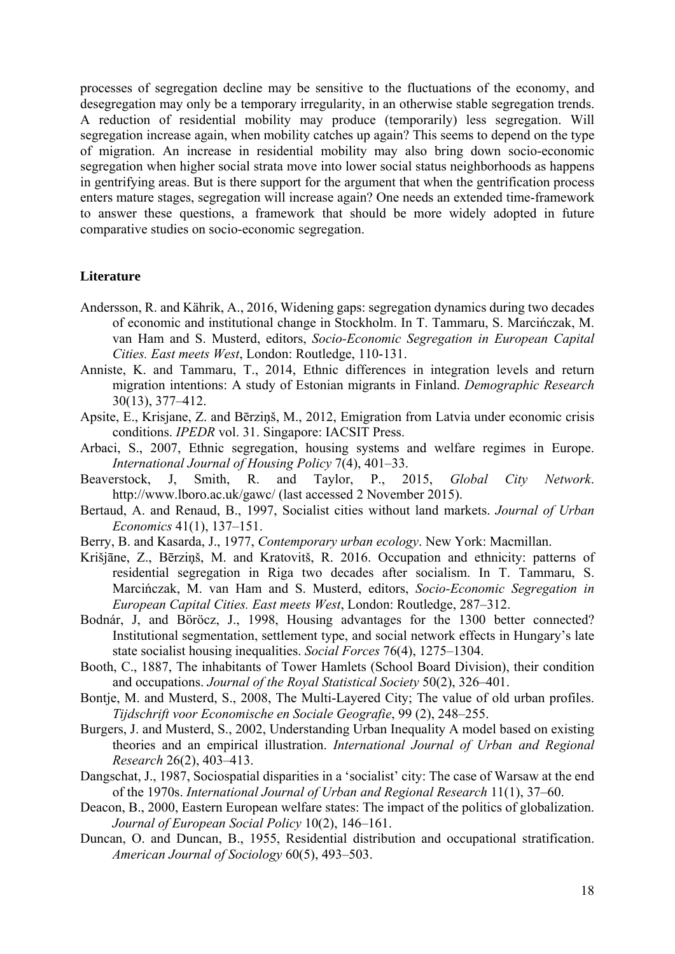processes of segregation decline may be sensitive to the fluctuations of the economy, and desegregation may only be a temporary irregularity, in an otherwise stable segregation trends. A reduction of residential mobility may produce (temporarily) less segregation. Will segregation increase again, when mobility catches up again? This seems to depend on the type of migration. An increase in residential mobility may also bring down socio-economic segregation when higher social strata move into lower social status neighborhoods as happens in gentrifying areas. But is there support for the argument that when the gentrification process enters mature stages, segregation will increase again? One needs an extended time-framework to answer these questions, a framework that should be more widely adopted in future comparative studies on socio-economic segregation.

#### **Literature**

- Andersson, R. and Kährik, A., 2016, Widening gaps: segregation dynamics during two decades of economic and institutional change in Stockholm. In T. Tammaru, S. Marcińczak, M. van Ham and S. Musterd, editors, *Socio-Economic Segregation in European Capital Cities. East meets West*, London: Routledge, 110-131.
- Anniste, K. and Tammaru, T., 2014, Ethnic differences in integration levels and return migration intentions: A study of Estonian migrants in Finland. *Demographic Research* 30(13), 377–412.
- Apsite, E., Krisjane, Z. and Bērziņš, M., 2012, Emigration from Latvia under economic crisis conditions. *IPEDR* vol. 31. Singapore: IACSIT Press.
- Arbaci, S., 2007, Ethnic segregation, housing systems and welfare regimes in Europe. *International Journal of Housing Policy* 7(4), 401–33.
- Beaverstock, J, Smith, R. and Taylor, P., 2015, *Global City Network*. http://www.lboro.ac.uk/gawc/ (last accessed 2 November 2015).
- Bertaud, A. and Renaud, B., 1997, Socialist cities without land markets. *Journal of Urban Economics* 41(1), 137–151.
- Berry, B. and Kasarda, J., 1977, *Contemporary urban ecology*. New York: Macmillan.
- Krišjāne, Z., Bērziņš, M. and Kratovitš, R. 2016. Occupation and ethnicity: patterns of residential segregation in Riga two decades after socialism. In T. Tammaru, S. Marcińczak, M. van Ham and S. Musterd, editors, *Socio-Economic Segregation in European Capital Cities. East meets West*, London: Routledge, 287–312.
- Bodnár, J, and Böröcz, J., 1998, Housing advantages for the 1300 better connected? Institutional segmentation, settlement type, and social network effects in Hungary's late state socialist housing inequalities. *Social Forces* 76(4), 1275–1304.
- Booth, C., 1887, The inhabitants of Tower Hamlets (School Board Division), their condition and occupations. *Journal of the Royal Statistical Society* 50(2), 326–401.
- Bontje, M. and Musterd, S., 2008, The Multi-Layered City; The value of old urban profiles. *Tijdschrift voor Economische en Sociale Geografie*, 99 (2), 248–255.
- Burgers, J. and Musterd, S., 2002, Understanding Urban Inequality A model based on existing theories and an empirical illustration. *International Journal of Urban and Regional Research* 26(2), 403–413.
- Dangschat, J., 1987, Sociospatial disparities in a 'socialist' city: The case of Warsaw at the end of the 1970s. *International Journal of Urban and Regional Research* 11(1), 37–60.
- Deacon, B., 2000, Eastern European welfare states: The impact of the politics of globalization. *Journal of European Social Policy* 10(2), 146–161.
- Duncan, O. and Duncan, B., 1955, Residential distribution and occupational stratification. *American Journal of Sociology* 60(5), 493–503.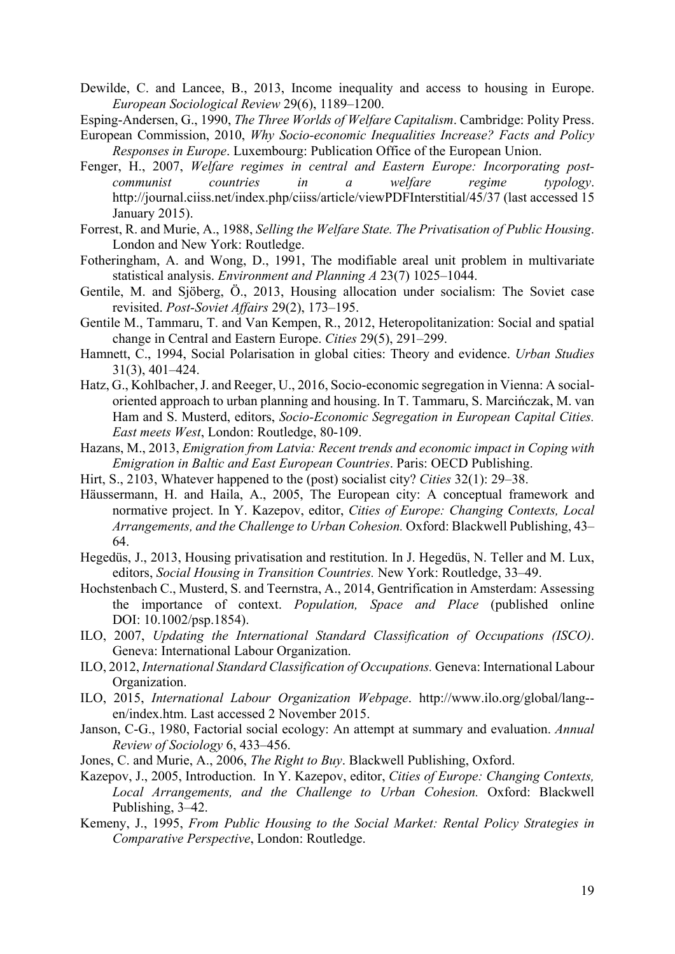Dewilde, C. and Lancee, B., 2013, Income inequality and access to housing in Europe. *European Sociological Review* 29(6), 1189–1200.

Esping-Andersen, G., 1990, *The Three Worlds of Welfare Capitalism*. Cambridge: Polity Press.

- European Commission, 2010, *Why Socio-economic Inequalities Increase? Facts and Policy Responses in Europe*. Luxembourg: Publication Office of the European Union.
- Fenger, H., 2007, *Welfare regimes in central and Eastern Europe: Incorporating postcommunist countries in a welfare regime typology*. http://journal.ciiss.net/index.php/ciiss/article/viewPDFInterstitial/45/37 (last accessed 15 January 2015).
- Forrest, R. and Murie, A., 1988, *Selling the Welfare State. The Privatisation of Public Housing*. London and New York: Routledge.
- Fotheringham, A. and Wong, D., 1991, The modifiable areal unit problem in multivariate statistical analysis. *Environment and Planning A* 23(7) 1025–1044.
- Gentile, M. and Sjöberg, Ö., 2013, Housing allocation under socialism: The Soviet case revisited. *Post-Soviet Affairs* 29(2), 173–195.
- Gentile M., Tammaru, T. and Van Kempen, R., 2012, Heteropolitanization: Social and spatial change in Central and Eastern Europe. *Cities* 29(5), 291–299.
- Hamnett, C., 1994, Social Polarisation in global cities: Theory and evidence. *Urban Studies* 31(3), 401–424.
- Hatz, G., Kohlbacher, J. and Reeger, U., 2016, Socio-economic segregation in Vienna: A socialoriented approach to urban planning and housing. In T. Tammaru, S. Marcińczak, M. van Ham and S. Musterd, editors, *Socio-Economic Segregation in European Capital Cities. East meets West*, London: Routledge, 80-109.
- Hazans, M., 2013, *Emigration from Latvia: Recent trends and economic impact in Coping with Emigration in Baltic and East European Countries*. Paris: OECD Publishing.
- Hirt, S., 2103, Whatever happened to the (post) socialist city? *Cities* 32(1): 29–38.
- Häussermann, H. and Haila, A., 2005, The European city: A conceptual framework and normative project. In Y. Kazepov, editor, *Cities of Europe: Changing Contexts, Local Arrangements, and the Challenge to Urban Cohesion.* Oxford: Blackwell Publishing, 43– 64.
- Hegedüs, J., 2013, Housing privatisation and restitution. In J. Hegedüs, N. Teller and M. Lux, editors, *Social Housing in Transition Countries.* New York: Routledge, 33–49.
- Hochstenbach C., Musterd, S. and Teernstra, A., 2014, Gentrification in Amsterdam: Assessing the importance of context. *Population, Space and Place* (published online DOI: 10.1002/psp.1854).
- ILO, 2007, *Updating the International Standard Classification of Occupations (ISCO)*. Geneva: International Labour Organization.
- ILO, 2012, *International Standard Classification of Occupations.* Geneva: International Labour Organization.
- ILO, 2015, *International Labour Organization Webpage*. http://www.ilo.org/global/lang- en/index.htm. Last accessed 2 November 2015.
- Janson, C-G., 1980, Factorial social ecology: An attempt at summary and evaluation. *Annual Review of Sociology* 6, 433–456.
- Jones, C. and Murie, A., 2006, *The Right to Buy*. Blackwell Publishing, Oxford.
- Kazepov, J., 2005, Introduction. In Y. Kazepov, editor, *Cities of Europe: Changing Contexts, Local Arrangements, and the Challenge to Urban Cohesion.* Oxford: Blackwell Publishing, 3–42.
- Kemeny, J., 1995, *From Public Housing to the Social Market: Rental Policy Strategies in Comparative Perspective*, London: Routledge.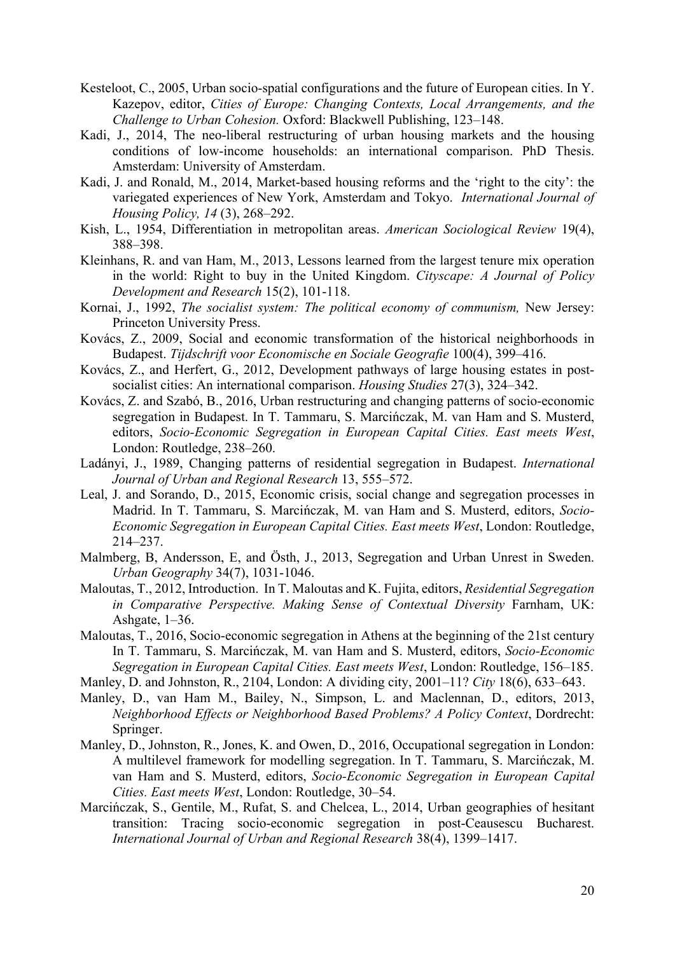- Kesteloot, C., 2005, Urban socio-spatial configurations and the future of European cities. In Y. Kazepov, editor, *Cities of Europe: Changing Contexts, Local Arrangements, and the Challenge to Urban Cohesion.* Oxford: Blackwell Publishing, 123–148.
- Kadi, J., 2014, The neo-liberal restructuring of urban housing markets and the housing conditions of low-income households: an international comparison. PhD Thesis. Amsterdam: University of Amsterdam.
- Kadi, J. and Ronald, M., 2014, Market-based housing reforms and the 'right to the city': the variegated experiences of New York, Amsterdam and Tokyo. *International Journal of Housing Policy, 14* (3), 268–292.
- Kish, L., 1954, Differentiation in metropolitan areas. *American Sociological Review* 19(4), 388–398.
- Kleinhans, R. and van Ham, M., 2013, Lessons learned from the largest tenure mix operation in the world: Right to buy in the United Kingdom. *Cityscape: A Journal of Policy Development and Research* 15(2), 101-118.
- Kornai, J., 1992, *The socialist system: The political economy of communism,* New Jersey: Princeton University Press.
- Kovács, Z., 2009, Social and economic transformation of the historical neighborhoods in Budapest. *Tijdschrift voor Economische en Sociale Geografie* 100(4), 399–416.
- Kovács, Z., and Herfert, G., 2012, Development pathways of large housing estates in postsocialist cities: An international comparison. *Housing Studies* 27(3), 324–342.
- Kovács, Z. and Szabó, B., 2016, Urban restructuring and changing patterns of socio-economic segregation in Budapest. In T. Tammaru, S. Marcińczak, M. van Ham and S. Musterd, editors, *Socio-Economic Segregation in European Capital Cities. East meets West*, London: Routledge, 238–260.
- Ladányi, J., 1989, Changing patterns of residential segregation in Budapest. *International Journal of Urban and Regional Research* 13, 555–572.
- Leal, J. and Sorando, D., 2015, Economic crisis, social change and segregation processes in Madrid. In T. Tammaru, S. Marcińczak, M. van Ham and S. Musterd, editors, *Socio-Economic Segregation in European Capital Cities. East meets West*, London: Routledge, 214–237.
- Malmberg, B, Andersson, E, and Östh, J., 2013, Segregation and Urban Unrest in Sweden. *Urban Geography* 34(7), 1031-1046.
- Maloutas, T., 2012, Introduction. In T. Maloutas and K. Fujita, editors, *Residential Segregation in Comparative Perspective. Making Sense of Contextual Diversity* Farnham, UK: Ashgate, 1–36.
- Maloutas, T., 2016, Socio-economic segregation in Athens at the beginning of the 21st century In T. Tammaru, S. Marcińczak, M. van Ham and S. Musterd, editors, *Socio-Economic Segregation in European Capital Cities. East meets West*, London: Routledge, 156–185.
- Manley, D. and Johnston, R., 2104, London: A dividing city, 2001–11? *City* 18(6), 633–643.
- Manley, D., van Ham M., Bailey, N., Simpson, L. and Maclennan, D., editors, 2013, *Neighborhood Effects or Neighborhood Based Problems? A Policy Context*, Dordrecht: Springer.
- Manley, D., Johnston, R., Jones, K. and Owen, D., 2016, Occupational segregation in London: A multilevel framework for modelling segregation. In T. Tammaru, S. Marcińczak, M. van Ham and S. Musterd, editors, *Socio-Economic Segregation in European Capital Cities. East meets West*, London: Routledge, 30–54.
- Marcińczak, S., Gentile, M., Rufat, S. and Chelcea, L., 2014, Urban geographies of hesitant transition: Tracing socio-economic segregation in post-Ceausescu Bucharest. *International Journal of Urban and Regional Research* 38(4), 1399–1417.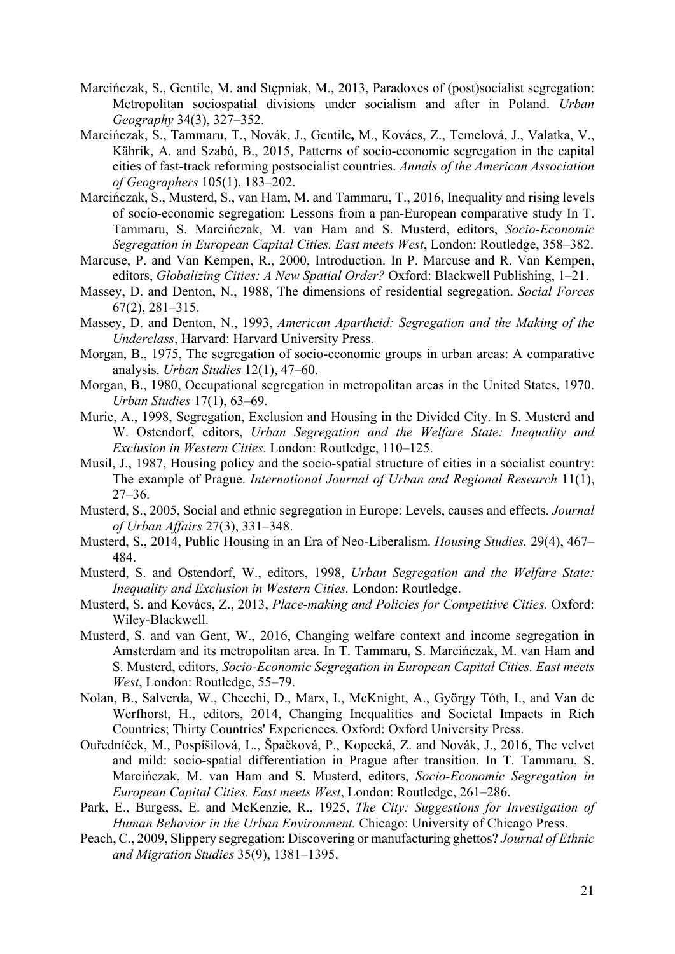- Marcińczak, S., Gentile, M. and Stępniak, M., 2013, Paradoxes of (post)socialist segregation: Metropolitan sociospatial divisions under socialism and after in Poland. *Urban Geography* 34(3), 327–352.
- Marcińczak, S., Tammaru, T., Novák, J., Gentile**,** M., Kovács, Z., Temelová, J., Valatka, V., Kährik, A. and Szabó, B., 2015, Patterns of socio-economic segregation in the capital cities of fast-track reforming postsocialist countries. *Annals of the American Association of Geographers* 105(1), 183–202.
- Marcińczak, S., Musterd, S., van Ham, M. and Tammaru, T., 2016, Inequality and rising levels of socio-economic segregation: Lessons from a pan-European comparative study In T. Tammaru, S. Marcińczak, M. van Ham and S. Musterd, editors, *Socio-Economic Segregation in European Capital Cities. East meets West*, London: Routledge, 358–382.
- Marcuse, P. and Van Kempen, R., 2000, Introduction. In P. Marcuse and R. Van Kempen, editors, *Globalizing Cities: A New Spatial Order?* Oxford: Blackwell Publishing, 1–21.
- Massey, D. and Denton, N., 1988, The dimensions of residential segregation. *Social Forces* 67(2), 281–315.
- Massey, D. and Denton, N., 1993, *American Apartheid: Segregation and the Making of the Underclass*, Harvard: Harvard University Press.
- Morgan, B., 1975, The segregation of socio-economic groups in urban areas: A comparative analysis. *Urban Studies* 12(1), 47–60.
- Morgan, B., 1980, Occupational segregation in metropolitan areas in the United States, 1970. *Urban Studies* 17(1), 63–69.
- Murie, A., 1998, Segregation, Exclusion and Housing in the Divided City. In S. Musterd and W. Ostendorf, editors, *Urban Segregation and the Welfare State: Inequality and Exclusion in Western Cities.* London: Routledge, 110–125.
- Musil, J., 1987, Housing policy and the socio-spatial structure of cities in a socialist country: The example of Prague. *International Journal of Urban and Regional Research* 11(1), 27–36.
- Musterd, S., 2005, Social and ethnic segregation in Europe: Levels, causes and effects. *Journal of Urban Affairs* 27(3), 331–348.
- Musterd, S., 2014, Public Housing in an Era of Neo-Liberalism. *Housing Studies.* 29(4), 467– 484.
- Musterd, S. and Ostendorf, W., editors, 1998, *Urban Segregation and the Welfare State: Inequality and Exclusion in Western Cities.* London: Routledge.
- Musterd, S. and Kovács, Z., 2013, *Place-making and Policies for Competitive Cities.* Oxford: Wiley-Blackwell.
- Musterd, S. and van Gent, W., 2016, Changing welfare context and income segregation in Amsterdam and its metropolitan area. In T. Tammaru, S. Marcińczak, M. van Ham and S. Musterd, editors, *Socio-Economic Segregation in European Capital Cities. East meets West*, London: Routledge, 55–79.
- Nolan, B., Salverda, W., Checchi, D., Marx, I., McKnight, A., György Tóth, I., and Van de Werfhorst, H., editors, 2014, Changing Inequalities and Societal Impacts in Rich Countries; Thirty Countries' Experiences. Oxford: Oxford University Press.
- Ouředníček, M., Pospíšilová, L., Špačková, P., Kopecká, Z. and Novák, J., 2016, The velvet and mild: socio-spatial differentiation in Prague after transition. In T. Tammaru, S. Marcińczak, M. van Ham and S. Musterd, editors, *Socio-Economic Segregation in European Capital Cities. East meets West*, London: Routledge, 261–286.
- Park, E., Burgess, E. and McKenzie, R., 1925, *The City: Suggestions for Investigation of Human Behavior in the Urban Environment.* Chicago: University of Chicago Press.
- Peach, C., 2009, Slippery segregation: Discovering or manufacturing ghettos? *Journal of Ethnic and Migration Studies* 35(9), 1381–1395.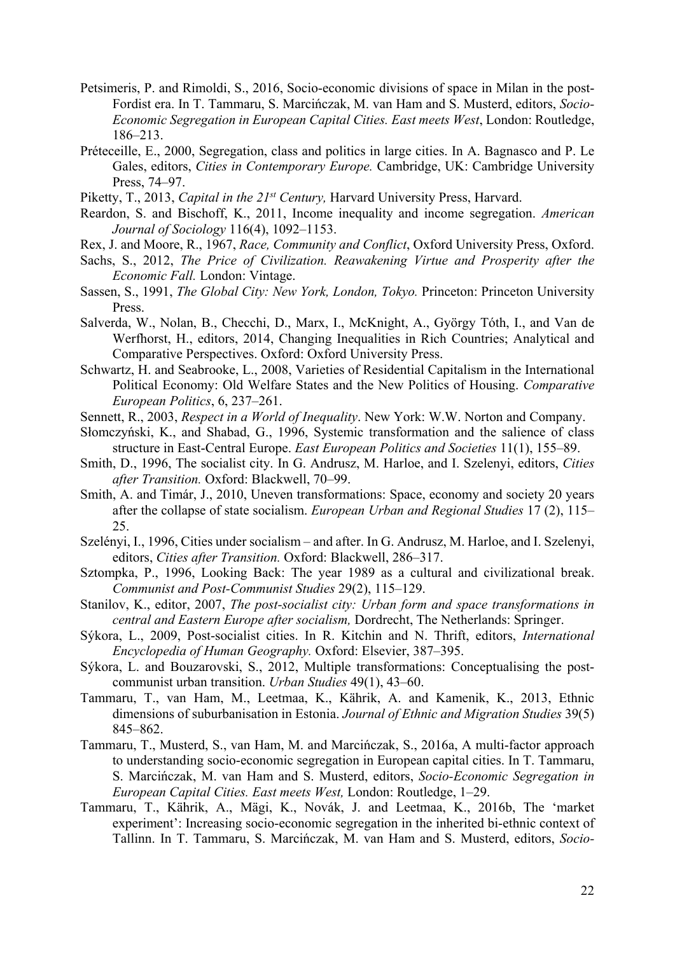- Petsimeris, P. and Rimoldi, S., 2016, Socio-economic divisions of space in Milan in the post-Fordist era. In T. Tammaru, S. Marcińczak, M. van Ham and S. Musterd, editors, *Socio-Economic Segregation in European Capital Cities. East meets West*, London: Routledge, 186–213.
- Préteceille, E., 2000, Segregation, class and politics in large cities. In A. Bagnasco and P. Le Gales, editors, *Cities in Contemporary Europe.* Cambridge, UK: Cambridge University Press, 74–97.
- Piketty, T., 2013, *Capital in the 21st Century,* Harvard University Press, Harvard.
- Reardon, S. and Bischoff, K., 2011, Income inequality and income segregation. *American Journal of Sociology* 116(4), 1092–1153.
- Rex, J. and Moore, R., 1967, *Race, Community and Conflict*, Oxford University Press, Oxford.
- Sachs, S., 2012, *The Price of Civilization. Reawakening Virtue and Prosperity after the Economic Fall.* London: Vintage.
- Sassen, S., 1991, *The Global City: New York, London, Tokyo.* Princeton: Princeton University Press.
- Salverda, W., Nolan, B., Checchi, D., Marx, I., McKnight, A., György Tóth, I., and Van de Werfhorst, H., editors, 2014, Changing Inequalities in Rich Countries; Analytical and Comparative Perspectives. Oxford: Oxford University Press.
- Schwartz, H. and Seabrooke, L., 2008, Varieties of Residential Capitalism in the International Political Economy: Old Welfare States and the New Politics of Housing. *Comparative European Politics*, 6, 237–261.
- Sennett, R., 2003, *Respect in a World of Inequality*. New York: W.W. Norton and Company.
- Słomczyński, K., and Shabad, G., 1996, Systemic transformation and the salience of class structure in East-Central Europe. *East European Politics and Societies* 11(1), 155–89.
- Smith, D., 1996, The socialist city. In G. Andrusz, M. Harloe, and I. Szelenyi, editors, *Cities after Transition.* Oxford: Blackwell, 70–99.
- Smith, A. and Timár, J., 2010, Uneven transformations: Space, economy and society 20 years after the collapse of state socialism. *European Urban and Regional Studies* 17 (2), 115– 25.
- Szelényi, I., 1996, Cities under socialism and after. In G. Andrusz, M. Harloe, and I. Szelenyi, editors, *Cities after Transition.* Oxford: Blackwell, 286–317.
- Sztompka, P., 1996, Looking Back: The year 1989 as a cultural and civilizational break. *Communist and Post-Communist Studies* 29(2), 115–129.
- Stanilov, K., editor, 2007, *The post-socialist city: Urban form and space transformations in central and Eastern Europe after socialism,* Dordrecht, The Netherlands: Springer.
- Sýkora, L., 2009, Post-socialist cities. In R. Kitchin and N. Thrift, editors, *International Encyclopedia of Human Geography.* Oxford: Elsevier, 387–395.
- Sýkora, L. and Bouzarovski, S., 2012, Multiple transformations: Conceptualising the postcommunist urban transition. *Urban Studies* 49(1), 43–60.
- Tammaru, T., van Ham, M., Leetmaa, K., Kährik, A. and Kamenik, K., 2013, Ethnic dimensions of suburbanisation in Estonia. *Journal of Ethnic and Migration Studies* 39(5) 845–862.
- Tammaru, T., Musterd, S., van Ham, M. and Marcińczak, S., 2016a, A multi-factor approach to understanding socio-economic segregation in European capital cities. In T. Tammaru, S. Marcińczak, M. van Ham and S. Musterd, editors, *Socio-Economic Segregation in European Capital Cities. East meets West,* London: Routledge, 1–29.
- Tammaru, T., Kährik, A., Mägi, K., Novák, J. and Leetmaa, K., 2016b, The 'market experiment': Increasing socio-economic segregation in the inherited bi-ethnic context of Tallinn. In T. Tammaru, S. Marcińczak, M. van Ham and S. Musterd, editors, *Socio-*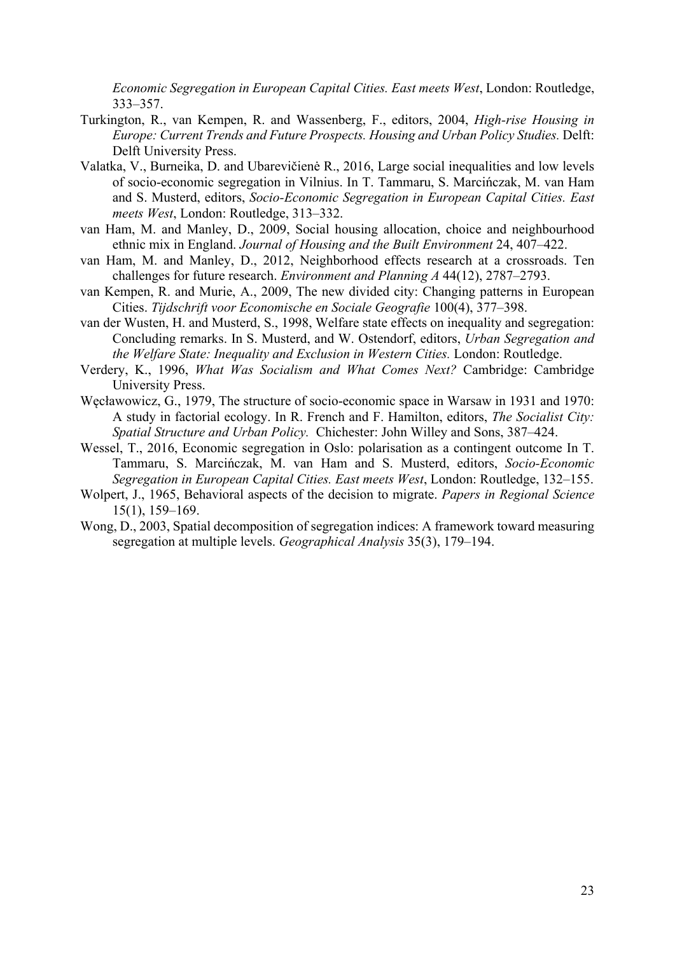*Economic Segregation in European Capital Cities. East meets West*, London: Routledge, 333–357.

- Turkington, R., van Kempen, R. and Wassenberg, F., editors, 2004, *High-rise Housing in Europe: Current Trends and Future Prospects. Housing and Urban Policy Studies.* Delft: Delft University Press.
- Valatka, V., Burneika, D. and Ubarevičienė R., 2016, Large social inequalities and low levels of socio-economic segregation in Vilnius. In T. Tammaru, S. Marcińczak, M. van Ham and S. Musterd, editors, *Socio-Economic Segregation in European Capital Cities. East meets West*, London: Routledge, 313–332.
- van Ham, M. and Manley, D., 2009, Social housing allocation, choice and neighbourhood ethnic mix in England. *Journal of Housing and the Built Environment* 24, 407–422.
- van Ham, M. and Manley, D., 2012, Neighborhood effects research at a crossroads. Ten challenges for future research. *Environment and Planning A* 44(12), 2787–2793.
- van Kempen, R. and Murie, A., 2009, The new divided city: Changing patterns in European Cities. *Tijdschrift voor Economische en Sociale Geografie* 100(4), 377–398.
- van der Wusten, H. and Musterd, S., 1998, Welfare state effects on inequality and segregation: Concluding remarks. In S. Musterd, and W. Ostendorf, editors, *Urban Segregation and the Welfare State: Inequality and Exclusion in Western Cities.* London: Routledge.
- Verdery, K., 1996, *What Was Socialism and What Comes Next?* Cambridge: Cambridge University Press.
- Węcławowicz, G., 1979, The structure of socio-economic space in Warsaw in 1931 and 1970: A study in factorial ecology. In R. French and F. Hamilton, editors, *The Socialist City: Spatial Structure and Urban Policy.* Chichester: John Willey and Sons, 387–424.
- Wessel, T., 2016, Economic segregation in Oslo: polarisation as a contingent outcome In T. Tammaru, S. Marcińczak, M. van Ham and S. Musterd, editors, *Socio-Economic Segregation in European Capital Cities. East meets West*, London: Routledge, 132–155.
- Wolpert, J., 1965, Behavioral aspects of the decision to migrate. *Papers in Regional Science* 15(1), 159–169.
- Wong, D., 2003, Spatial decomposition of segregation indices: A framework toward measuring segregation at multiple levels. *Geographical Analysis* 35(3), 179–194.